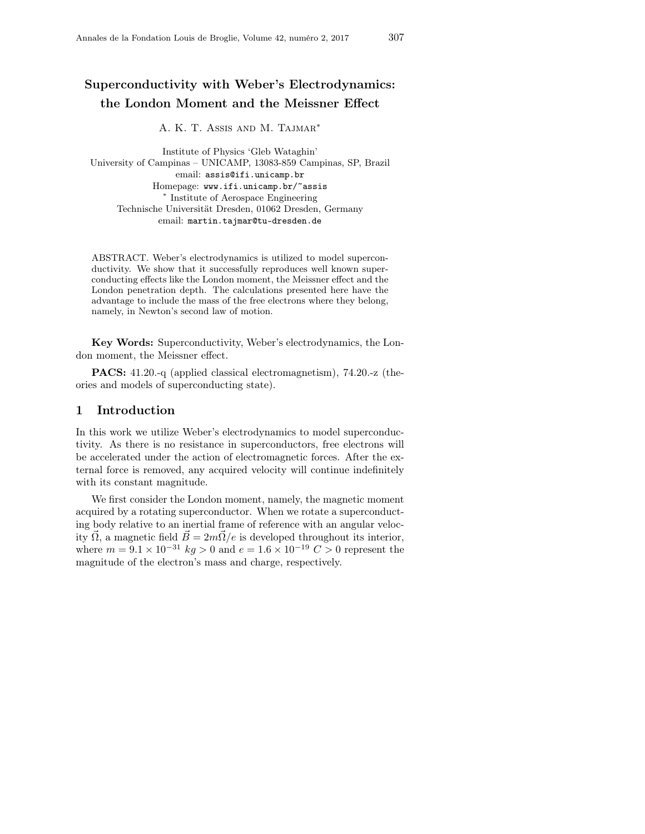# Superconductivity with Weber's Electrodynamics: the London Moment and the Meissner Effect

A. K. T. Assis and M. Tajmar<sup>∗</sup>

Institute of Physics 'Gleb Wataghin' University of Campinas – UNICAMP, 13083-859 Campinas, SP, Brazil email: assis@ifi.unicamp.br Homepage: www.ifi.unicamp.br/~assis ∗ Institute of Aerospace Engineering Technische Universität Dresden, 01062 Dresden, Germany email: martin.tajmar@tu-dresden.de

ABSTRACT. Weber's electrodynamics is utilized to model superconductivity. We show that it successfully reproduces well known superconducting effects like the London moment, the Meissner effect and the London penetration depth. The calculations presented here have the advantage to include the mass of the free electrons where they belong, namely, in Newton's second law of motion.

Key Words: Superconductivity, Weber's electrodynamics, the London moment, the Meissner effect.

PACS: 41.20.-q (applied classical electromagnetism), 74.20.-z (theories and models of superconducting state).

## 1 Introduction

In this work we utilize Weber's electrodynamics to model superconductivity. As there is no resistance in superconductors, free electrons will be accelerated under the action of electromagnetic forces. After the external force is removed, any acquired velocity will continue indefinitely with its constant magnitude.

We first consider the London moment, namely, the magnetic moment acquired by a rotating superconductor. When we rotate a superconducting body relative to an inertial frame of reference with an angular velocity  $\overline{\Omega}$ , a magnetic field  $\overline{B} = 2m\overline{\Omega}/e$  is developed throughout its interior, where  $m = 9.1 \times 10^{-31}$  kg > 0 and  $e = 1.6 \times 10^{-19}$  C > 0 represent the magnitude of the electron's mass and charge, respectively.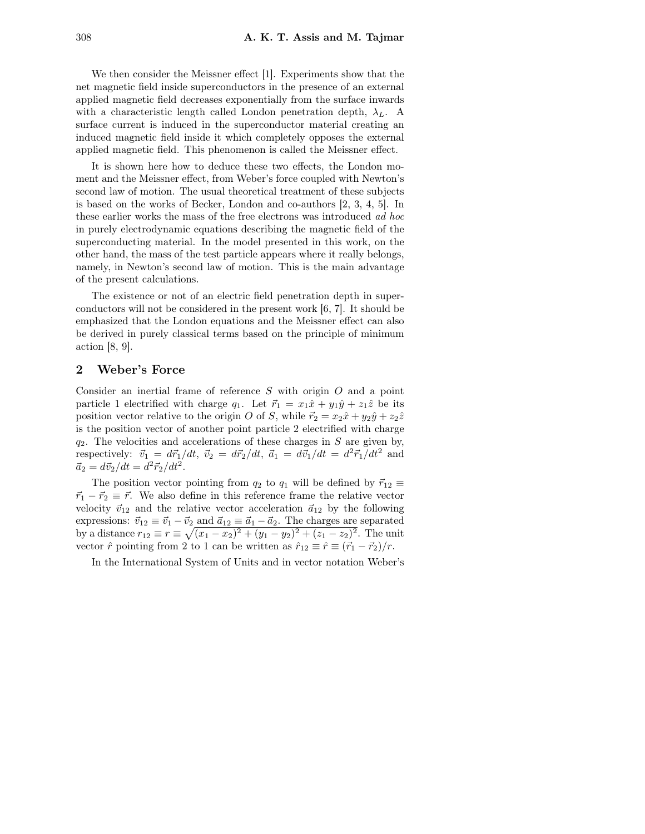We then consider the Meissner effect [1]. Experiments show that the net magnetic field inside superconductors in the presence of an external applied magnetic field decreases exponentially from the surface inwards with a characteristic length called London penetration depth,  $\lambda_L$ . A surface current is induced in the superconductor material creating an induced magnetic field inside it which completely opposes the external applied magnetic field. This phenomenon is called the Meissner effect.

It is shown here how to deduce these two effects, the London moment and the Meissner effect, from Weber's force coupled with Newton's second law of motion. The usual theoretical treatment of these subjects is based on the works of Becker, London and co-authors [2, 3, 4, 5]. In these earlier works the mass of the free electrons was introduced ad hoc in purely electrodynamic equations describing the magnetic field of the superconducting material. In the model presented in this work, on the other hand, the mass of the test particle appears where it really belongs, namely, in Newton's second law of motion. This is the main advantage of the present calculations.

The existence or not of an electric field penetration depth in superconductors will not be considered in the present work [6, 7]. It should be emphasized that the London equations and the Meissner effect can also be derived in purely classical terms based on the principle of minimum action [8, 9].

# 2 Weber's Force

Consider an inertial frame of reference S with origin O and a point particle 1 electrified with charge  $q_1$ . Let  $\vec{r}_1 = x_1 \hat{x} + y_1 \hat{y} + z_1 \hat{z}$  be its position vector relative to the origin O of S, while  $\vec{r}_2 = x_2 \hat{x} + y_2 \hat{y} + z_2 \hat{z}$ is the position vector of another point particle 2 electrified with charge  $q_2$ . The velocities and accelerations of these charges in S are given by, respectively:  $\vec{v}_1 = d\vec{r}_1/dt, \ \vec{v}_2 = d\vec{r}_2/dt, \ \vec{a}_1 = d\vec{v}_1/dt = d^2\vec{r}_1/dt^2$  and  $\vec{a}_2 = d\vec{v}_2/dt = d^2\vec{r}_2/dt^2.$ 

The position vector pointing from  $q_2$  to  $q_1$  will be defined by  $\vec{r}_{12} \equiv$  $\vec{r}_1 - \vec{r}_2 \equiv \vec{r}$ . We also define in this reference frame the relative vector velocity  $\vec{v}_{12}$  and the relative vector acceleration  $\vec{a}_{12}$  by the following expressions:  $\vec{v}_{12} \equiv \vec{v}_1 - \vec{v}_2$  and  $\vec{a}_{12} \equiv \vec{a}_1 - \vec{a}_2$ . The charges are separated by a distance  $r_{12} \equiv r \equiv \sqrt{(x_1 - x_2)^2 + (y_1 - y_2)^2 + (z_1 - z_2)^2}$ . The unit vector  $\hat{r}$  pointing from 2 to 1 can be written as  $\hat{r}_{12} \equiv \hat{r} \equiv (\vec{r}_1 - \vec{r}_2)/r$ .

In the International System of Units and in vector notation Weber's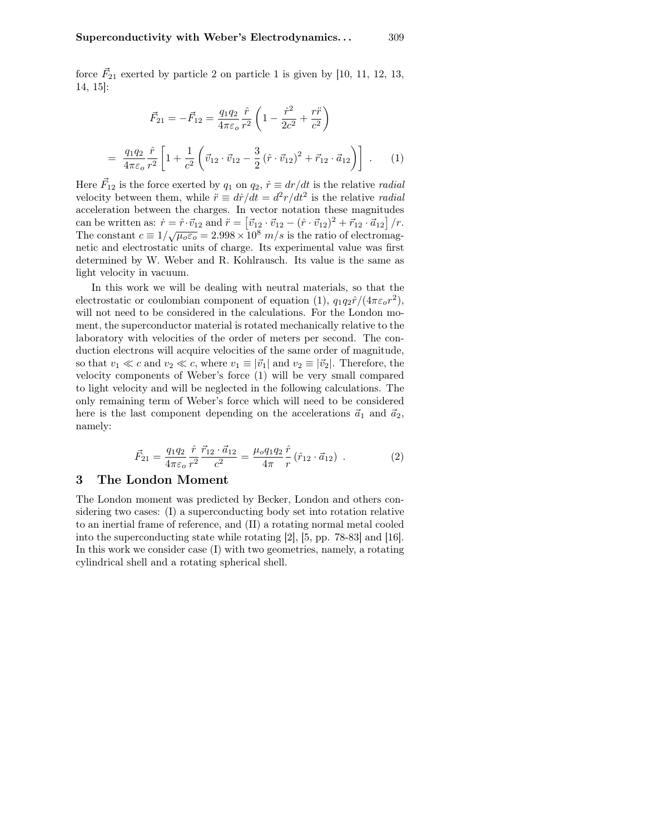force  $\vec{F}_{21}$  exerted by particle 2 on particle 1 is given by [10, 11, 12, 13, 14, 15]:

$$
\vec{F}_{21} = -\vec{F}_{12} = \frac{q_1 q_2}{4\pi \varepsilon_o} \frac{\hat{r}}{r^2} \left( 1 - \frac{\dot{r}^2}{2c^2} + \frac{r\ddot{r}}{c^2} \right)
$$

$$
= \frac{q_1 q_2}{4\pi \varepsilon_o} \frac{\hat{r}}{r^2} \left[ 1 + \frac{1}{c^2} \left( \vec{v}_{12} \cdot \vec{v}_{12} - \frac{3}{2} \left( \hat{r} \cdot \vec{v}_{12} \right)^2 + \vec{r}_{12} \cdot \vec{a}_{12} \right) \right] . \tag{1}
$$

Here  $\vec{F}_{12}$  is the force exerted by  $q_1$  on  $q_2$ ,  $\dot{r} \equiv dr/dt$  is the relative *radial* velocity between them, while  $\ddot{r} \equiv d\dot{r}/dt = d^2r/dt^2$  is the relative *radial* acceleration between the charges. In vector notation these magnitudes can be written as:  $\dot{r} = \hat{r} \cdot \vec{v}_{12}$  and  $\ddot{r} = [\vec{v}_{12} \cdot \vec{v}_{12} - (\hat{r} \cdot \vec{v}_{12})^2 + \vec{r}_{12} \cdot \vec{a}_{12}] / r$ . The constant  $c \equiv 1/\sqrt{\mu_0 \varepsilon_0} = 2.998 \times 10^8$  m/s is the ratio of electromagnetic and electrostatic units of charge. Its experimental value was first determined by W. Weber and R. Kohlrausch. Its value is the same as light velocity in vacuum.

In this work we will be dealing with neutral materials, so that the electrostatic or coulombian component of equation (1),  $q_1q_2\hat{r}/(4\pi\varepsilon_o r^2)$ , will not need to be considered in the calculations. For the London moment, the superconductor material is rotated mechanically relative to the laboratory with velocities of the order of meters per second. The conduction electrons will acquire velocities of the same order of magnitude, so that  $v_1 \ll c$  and  $v_2 \ll c$ , where  $v_1 \equiv |\vec{v}_1|$  and  $v_2 \equiv |\vec{v}_2|$ . Therefore, the velocity components of Weber's force (1) will be very small compared to light velocity and will be neglected in the following calculations. The only remaining term of Weber's force which will need to be considered here is the last component depending on the accelerations  $\vec{a}_1$  and  $\vec{a}_2$ , namely:

$$
\vec{F}_{21} = \frac{q_1 q_2}{4\pi \varepsilon_o} \frac{\hat{r}}{r^2} \frac{\vec{r}_{12} \cdot \vec{a}_{12}}{c^2} = \frac{\mu_o q_1 q_2}{4\pi} \frac{\hat{r}}{r} \left(\hat{r}_{12} \cdot \vec{a}_{12}\right) . \tag{2}
$$

## 3 The London Moment

=

The London moment was predicted by Becker, London and others considering two cases: (I) a superconducting body set into rotation relative to an inertial frame of reference, and (II) a rotating normal metal cooled into the superconducting state while rotating [2], [5, pp. 78-83] and [16]. In this work we consider case (I) with two geometries, namely, a rotating cylindrical shell and a rotating spherical shell.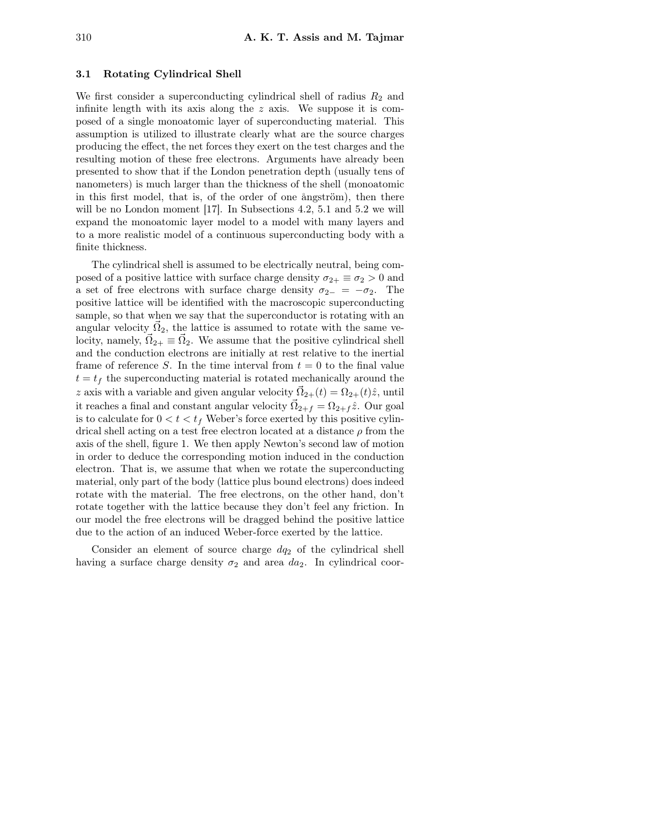#### 3.1 Rotating Cylindrical Shell

We first consider a superconducting cylindrical shell of radius  $R_2$  and infinite length with its axis along the  $z$  axis. We suppose it is composed of a single monoatomic layer of superconducting material. This assumption is utilized to illustrate clearly what are the source charges producing the effect, the net forces they exert on the test charges and the resulting motion of these free electrons. Arguments have already been presented to show that if the London penetration depth (usually tens of nanometers) is much larger than the thickness of the shell (monoatomic in this first model, that is, of the order of one ångström), then there will be no London moment [17]. In Subsections 4.2, 5.1 and 5.2 we will expand the monoatomic layer model to a model with many layers and to a more realistic model of a continuous superconducting body with a finite thickness.

The cylindrical shell is assumed to be electrically neutral, being composed of a positive lattice with surface charge density  $\sigma_{2+} \equiv \sigma_2 > 0$  and a set of free electrons with surface charge density  $\sigma_{2-} = -\sigma_2$ . The positive lattice will be identified with the macroscopic superconducting sample, so that when we say that the superconductor is rotating with an angular velocity  $\vec{\Omega}_2$ , the lattice is assumed to rotate with the same velocity, namely,  $\vec{\Omega}_{2+} \equiv \vec{\Omega}_2$ . We assume that the positive cylindrical shell and the conduction electrons are initially at rest relative to the inertial frame of reference S. In the time interval from  $t = 0$  to the final value  $t = t_f$  the superconducting material is rotated mechanically around the z axis with a variable and given angular velocity  $\vec{\Omega}_{2+}(t) = \Omega_{2+}(t)\hat{z}$ , until it reaches a final and constant angular velocity  $\vec{\Omega}_{2+f} = \Omega_{2+f} \hat{z}$ . Our goal is to calculate for  $0 < t < t_f$  Weber's force exerted by this positive cylindrical shell acting on a test free electron located at a distance  $\rho$  from the axis of the shell, figure 1. We then apply Newton's second law of motion in order to deduce the corresponding motion induced in the conduction electron. That is, we assume that when we rotate the superconducting material, only part of the body (lattice plus bound electrons) does indeed rotate with the material. The free electrons, on the other hand, don't rotate together with the lattice because they don't feel any friction. In our model the free electrons will be dragged behind the positive lattice due to the action of an induced Weber-force exerted by the lattice.

Consider an element of source charge  $dq_2$  of the cylindrical shell having a surface charge density  $\sigma_2$  and area  $da_2$ . In cylindrical coor-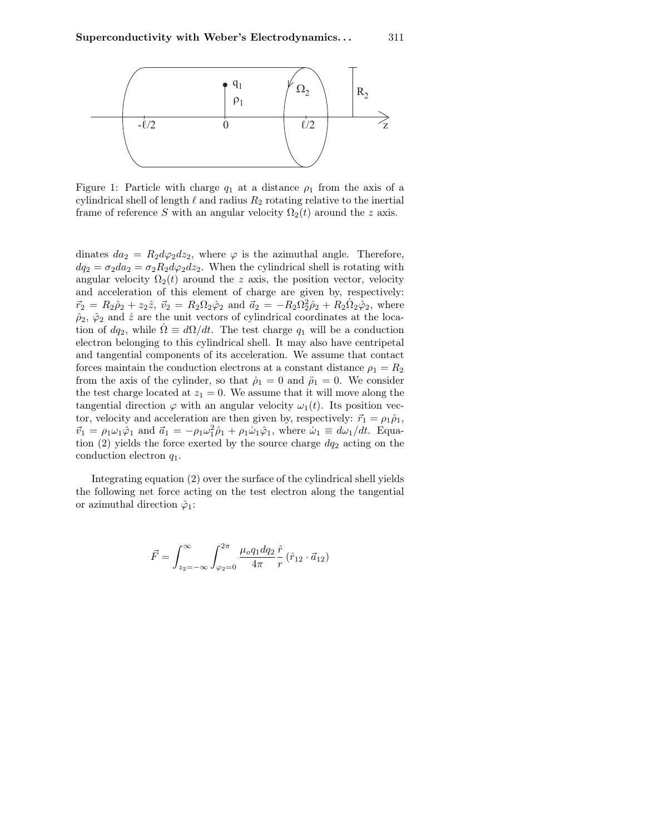

Figure 1: Particle with charge  $q_1$  at a distance  $\rho_1$  from the axis of a cylindrical shell of length  $\ell$  and radius  $R_2$  rotating relative to the inertial frame of reference S with an angular velocity  $\Omega_2(t)$  around the z axis.

dinates  $da_2 = R_2 d\varphi_2 dz_2$ , where  $\varphi$  is the azimuthal angle. Therefore,  $dq_2 = \sigma_2 da_2 = \sigma_2 R_2 d\varphi_2 dz_2$ . When the cylindrical shell is rotating with angular velocity  $\Omega_2(t)$  around the z axis, the position vector, velocity and acceleration of this element of charge are given by, respectively:  $\vec{r}_2 = R_2 \hat{\rho}_2 + z_2 \hat{z}, \ \vec{v}_2 = R_2 \Omega_2 \hat{\varphi}_2$  and  $\vec{a}_2 = -R_2 \Omega_2^2 \hat{\rho}_2 + R_2 \Omega_2 \hat{\varphi}_2$ , where  $\hat{\rho}_2$ ,  $\hat{\varphi}_2$  and  $\hat{z}$  are the unit vectors of cylindrical coordinates at the location of  $dq_2$ , while  $\Omega \equiv d\Omega/dt$ . The test charge  $q_1$  will be a conduction electron belonging to this cylindrical shell. It may also have centripetal and tangential components of its acceleration. We assume that contact forces maintain the conduction electrons at a constant distance  $\rho_1 = R_2$ from the axis of the cylinder, so that  $\dot{\rho}_1 = 0$  and  $\ddot{\rho}_1 = 0$ . We consider the test charge located at  $z_1 = 0$ . We assume that it will move along the tangential direction  $\varphi$  with an angular velocity  $\omega_1(t)$ . Its position vector, velocity and acceleration are then given by, respectively:  $\vec{r}_1 = \rho_1 \hat{\rho}_1$ ,  $\vec{v}_1 = \rho_1 \omega_1 \hat{\varphi}_1$  and  $\vec{a}_1 = -\rho_1 \omega_1^2 \hat{\rho}_1 + \rho_1 \dot{\omega}_1 \hat{\varphi}_1$ , where  $\dot{\omega}_1 \equiv d\omega_1/dt$ . Equation  $(2)$  yields the force exerted by the source charge  $dq_2$  acting on the conduction electron  $q_1$ .

Integrating equation (2) over the surface of the cylindrical shell yields the following net force acting on the test electron along the tangential or azimuthal direction  $\hat{\varphi}_1$ :

$$
\vec{F} = \int_{z_2=-\infty}^{\infty} \int_{\varphi_2=0}^{2\pi} \frac{\mu_o q_1 dq_2}{4\pi} \frac{\hat{r}}{r} \left( \hat{r}_{12} \cdot \vec{a}_{12} \right)
$$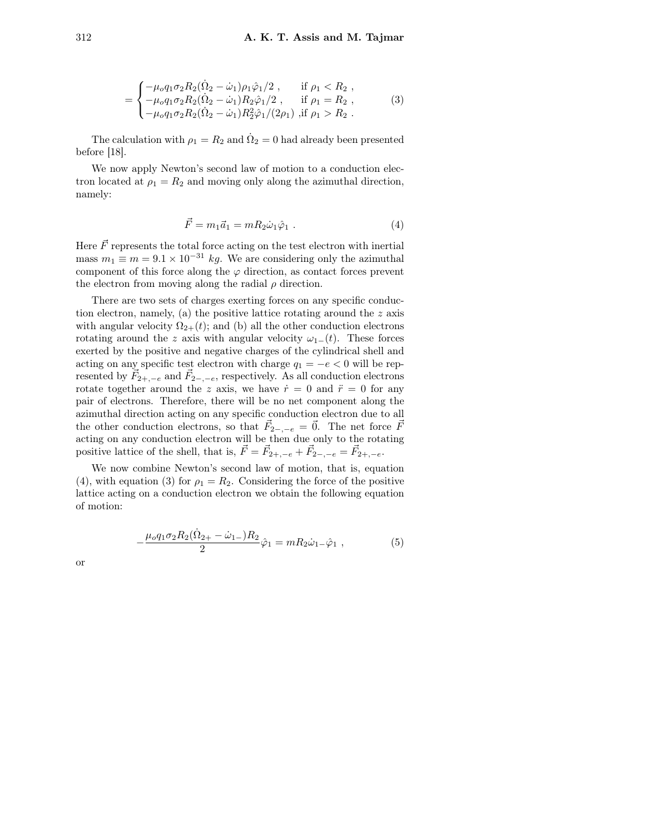$$
= \begin{cases}\n-\mu_o q_1 \sigma_2 R_2 (\dot{\Omega}_2 - \dot{\omega}_1) \rho_1 \hat{\varphi}_1 / 2 , & \text{if } \rho_1 < R_2 , \\
-\mu_o q_1 \sigma_2 R_2 (\dot{\Omega}_2 - \dot{\omega}_1) R_2 \hat{\varphi}_1 / 2 , & \text{if } \rho_1 = R_2 , \\
-\mu_o q_1 \sigma_2 R_2 (\dot{\Omega}_2 - \dot{\omega}_1) R_2^2 \hat{\varphi}_1 / (2 \rho_1) , & \text{if } \rho_1 > R_2 .\n\end{cases}
$$
\n(3)

The calculation with  $\rho_1 = R_2$  and  $\dot{\Omega}_2 = 0$  had already been presented before [18].

We now apply Newton's second law of motion to a conduction electron located at  $\rho_1 = R_2$  and moving only along the azimuthal direction, namely:

$$
\vec{F} = m_1 \vec{a}_1 = m R_2 \dot{\omega}_1 \hat{\varphi}_1 \tag{4}
$$

Here  $\vec{F}$  represents the total force acting on the test electron with inertial mass  $m_1 \equiv m = 9.1 \times 10^{-31}$  kg. We are considering only the azimuthal component of this force along the  $\varphi$  direction, as contact forces prevent the electron from moving along the radial  $\rho$  direction.

There are two sets of charges exerting forces on any specific conduction electron, namely, (a) the positive lattice rotating around the z axis with angular velocity  $\Omega_{2+}(t)$ ; and (b) all the other conduction electrons rotating around the z axis with angular velocity  $\omega_1$ −(t). These forces exerted by the positive and negative charges of the cylindrical shell and acting on any specific test electron with charge  $q_1 = -e < 0$  will be represented by  $\vec{F}_{2+,-e}$  and  $\vec{F}_{2-,-e}$ , respectively. As all conduction electrons rotate together around the z axis, we have  $\dot{r}=0$  and  $\ddot{r}=0$  for any pair of electrons. Therefore, there will be no net component along the azimuthal direction acting on any specific conduction electron due to all the other conduction electrons, so that  $\vec{F}_{2-,-e} = \vec{0}$ . The net force  $\vec{F}_{2-}$ acting on any conduction electron will be then due only to the rotating positive lattice of the shell, that is,  $\vec{F} = \vec{F}_{2+,-e} + \vec{F}_{2-,-e} = \vec{F}_{2+,-e}$ .

We now combine Newton's second law of motion, that is, equation (4), with equation (3) for  $\rho_1 = R_2$ . Considering the force of the positive lattice acting on a conduction electron we obtain the following equation of motion:

$$
-\frac{\mu_o q_1 \sigma_2 R_2 (\dot{\Omega}_{2+} - \dot{\omega}_{1-}) R_2}{2} \hat{\varphi}_1 = m R_2 \dot{\omega}_{1-} \hat{\varphi}_1 , \qquad (5)
$$

or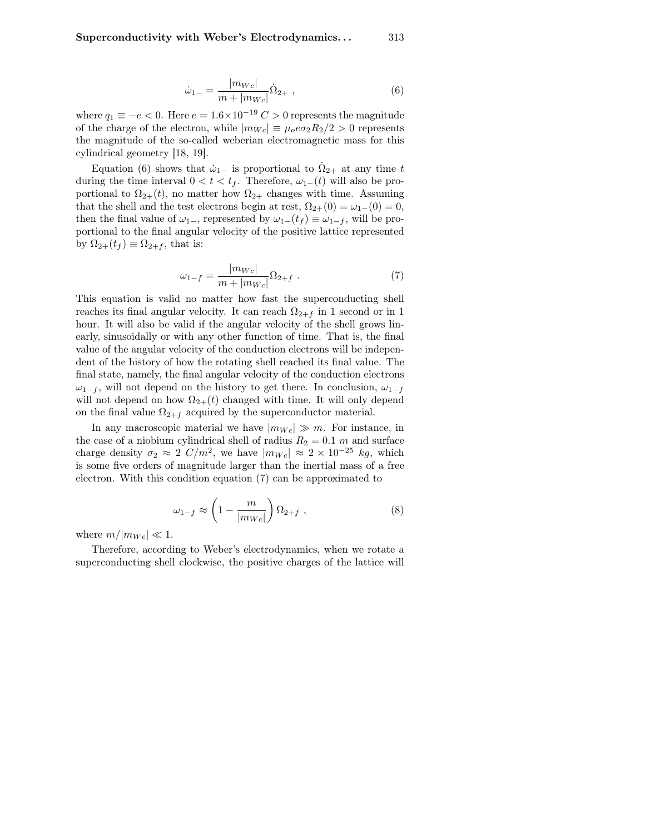$$
\dot{\omega}_{1-} = \frac{|m_{Wc}|}{m + |m_{Wc}|} \dot{\Omega}_{2+} \,, \tag{6}
$$

where  $q_1 \equiv -e < 0$ . Here  $e = 1.6 \times 10^{-19} C > 0$  represents the magnitude of the charge of the electron, while  $|m_{Wc}| \equiv \mu_0 e \sigma_2 R_2/2 > 0$  represents the magnitude of the so-called weberian electromagnetic mass for this cylindrical geometry [18, 19].

Equation (6) shows that  $\dot{\omega}_{1-}$  is proportional to  $\dot{\Omega}_{2+}$  at any time t during the time interval  $0 < t < t_f$ . Therefore,  $\omega_{1-}(t)$  will also be proportional to  $\Omega_{2+}(t)$ , no matter how  $\Omega_{2+}$  changes with time. Assuming that the shell and the test electrons begin at rest,  $\Omega_{2+}(0) = \omega_{1-}(0) = 0$ , then the final value of  $\omega_{1-}$ , represented by  $\omega_{1-}(t_f) \equiv \omega_{1-f}$ , will be proportional to the final angular velocity of the positive lattice represented by  $\Omega_{2+}(t_f) \equiv \Omega_{2+f}$ , that is:

$$
\omega_{1-f} = \frac{|m_{Wc}|}{m + |m_{Wc}|} \Omega_{2+f} . \tag{7}
$$

This equation is valid no matter how fast the superconducting shell reaches its final angular velocity. It can reach  $\Omega_{2+f}$  in 1 second or in 1 hour. It will also be valid if the angular velocity of the shell grows linearly, sinusoidally or with any other function of time. That is, the final value of the angular velocity of the conduction electrons will be independent of the history of how the rotating shell reached its final value. The final state, namely, the final angular velocity of the conduction electrons  $\omega_{1-f}$ , will not depend on the history to get there. In conclusion,  $\omega_{1-f}$ will not depend on how  $\Omega_{2+}(t)$  changed with time. It will only depend on the final value  $\Omega_{2+f}$  acquired by the superconductor material.

In any macroscopic material we have  $|m_{Wc}| \gg m$ . For instance, in the case of a niobium cylindrical shell of radius  $R_2 = 0.1$  m and surface charge density  $\sigma_2 \approx 2 \ C/m^2$ , we have  $|m_{Wc}| \approx 2 \times 10^{-25} \ kg$ , which is some five orders of magnitude larger than the inertial mass of a free electron. With this condition equation (7) can be approximated to

$$
\omega_{1-f} \approx \left(1 - \frac{m}{|m_{We}|}\right) \Omega_{2+f} , \qquad (8)
$$

where  $m/|m_{Wc}| \ll 1$ .

Therefore, according to Weber's electrodynamics, when we rotate a superconducting shell clockwise, the positive charges of the lattice will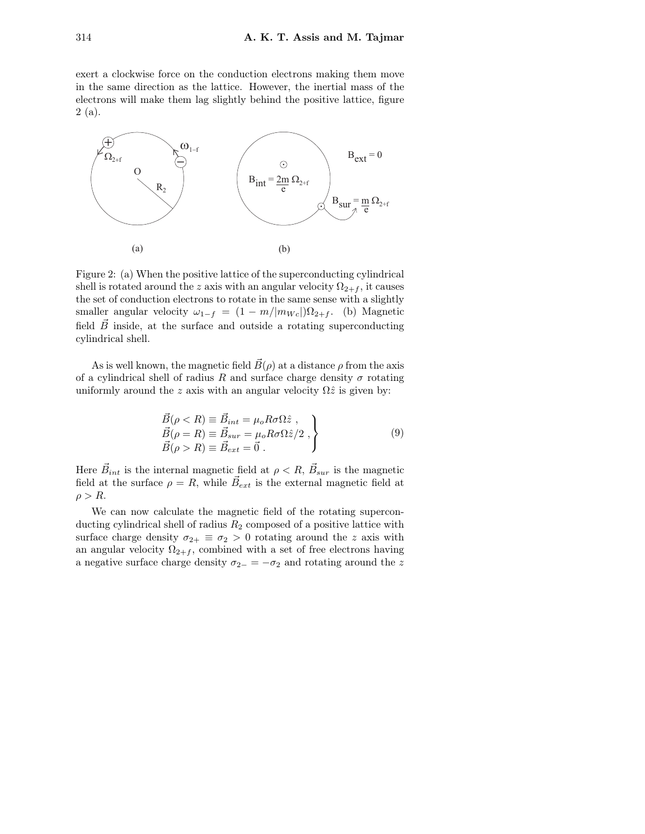exert a clockwise force on the conduction electrons making them move in the same direction as the lattice. However, the inertial mass of the electrons will make them lag slightly behind the positive lattice, figure  $2(a)$ .



Figure 2: (a) When the positive lattice of the superconducting cylindrical shell is rotated around the z axis with an angular velocity  $\Omega_{2+f}$ , it causes the set of conduction electrons to rotate in the same sense with a slightly smaller angular velocity  $\omega_{1-f} = (1 - m/|m_{We}|)\Omega_{2+f}$ . (b) Magnetic field  $\vec{B}$  inside, at the surface and outside a rotating superconducting cylindrical shell.

As is well known, the magnetic field  $\vec{B}(\rho)$  at a distance  $\rho$  from the axis of a cylindrical shell of radius R and surface charge density  $\sigma$  rotating uniformly around the z axis with an angular velocity  $\Omega \hat{z}$  is given by:

$$
\begin{aligned}\n\vec{B}(\rho < R) \equiv \vec{B}_{int} = \mu_o R \sigma \Omega \hat{z} ,\\ \n\vec{B}(\rho = R) \equiv \vec{B}_{sur} = \mu_o R \sigma \Omega \hat{z} / 2 ,\\ \n\vec{B}(\rho > R) \equiv \vec{B}_{ext} = \vec{0} .\n\end{aligned} \tag{9}
$$

Here  $\vec{B}_{int}$  is the internal magnetic field at  $\rho < R$ ,  $\vec{B}_{sur}$  is the magnetic field at the surface  $\rho = R$ , while  $\vec{B}_{ext}$  is the external magnetic field at  $\rho > R$ .

We can now calculate the magnetic field of the rotating superconducting cylindrical shell of radius  $R_2$  composed of a positive lattice with surface charge density  $\sigma_{2+} \equiv \sigma_2 > 0$  rotating around the z axis with an angular velocity  $\Omega_{2+f}$ , combined with a set of free electrons having a negative surface charge density  $\sigma_{2-} = -\sigma_2$  and rotating around the z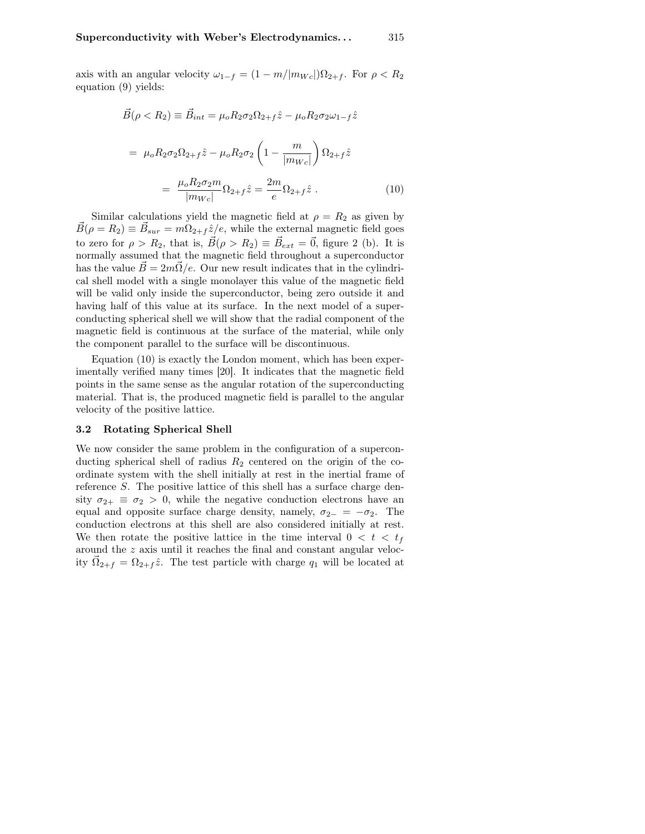axis with an angular velocity  $\omega_{1-f} = (1 - m/|m_{We}|)\Omega_{2+f}$ . For  $\rho < R_2$ equation (9) yields:

$$
\vec{B}(\rho < R_2) \equiv \vec{B}_{int} = \mu_o R_2 \sigma_2 \Omega_{2+f} \hat{z} - \mu_o R_2 \sigma_2 \omega_{1-f} \hat{z}
$$
\n
$$
= \mu_o R_2 \sigma_2 \Omega_{2+f} \hat{z} - \mu_o R_2 \sigma_2 \left( 1 - \frac{m}{|m_{Wc}|} \right) \Omega_{2+f} \hat{z}
$$
\n
$$
= \frac{\mu_o R_2 \sigma_2 m}{|m_{Wc}|} \Omega_{2+f} \hat{z} = \frac{2m}{e} \Omega_{2+f} \hat{z} \,. \tag{10}
$$

Similar calculations yield the magnetic field at  $\rho = R_2$  as given by  $\vec{B}(\rho = R_2) \equiv \vec{B}_{sur} = m\Omega_{2+f} \hat{z}/e$ , while the external magnetic field goes to zero for  $\rho > R_2$ , that is,  $\vec{B}(\rho > R_2) \equiv \vec{B}_{ext} = \vec{0}$ , figure 2 (b). It is normally assumed that the magnetic field throughout a superconductor has the value  $B = 2m\Omega/e$ . Our new result indicates that in the cylindrical shell model with a single monolayer this value of the magnetic field will be valid only inside the superconductor, being zero outside it and having half of this value at its surface. In the next model of a superconducting spherical shell we will show that the radial component of the magnetic field is continuous at the surface of the material, while only the component parallel to the surface will be discontinuous.

Equation (10) is exactly the London moment, which has been experimentally verified many times [20]. It indicates that the magnetic field points in the same sense as the angular rotation of the superconducting material. That is, the produced magnetic field is parallel to the angular velocity of the positive lattice.

#### 3.2 Rotating Spherical Shell

We now consider the same problem in the configuration of a superconducting spherical shell of radius  $R_2$  centered on the origin of the coordinate system with the shell initially at rest in the inertial frame of reference S. The positive lattice of this shell has a surface charge density  $\sigma_{2+} \equiv \sigma_2 > 0$ , while the negative conduction electrons have an equal and opposite surface charge density, namely,  $\sigma_{2-} = -\sigma_2$ . The conduction electrons at this shell are also considered initially at rest. We then rotate the positive lattice in the time interval  $0 < t < t_f$ around the z axis until it reaches the final and constant angular velocity  $\vec{\Omega}_{2+f} = \Omega_{2+f} \hat{z}$ . The test particle with charge  $q_1$  will be located at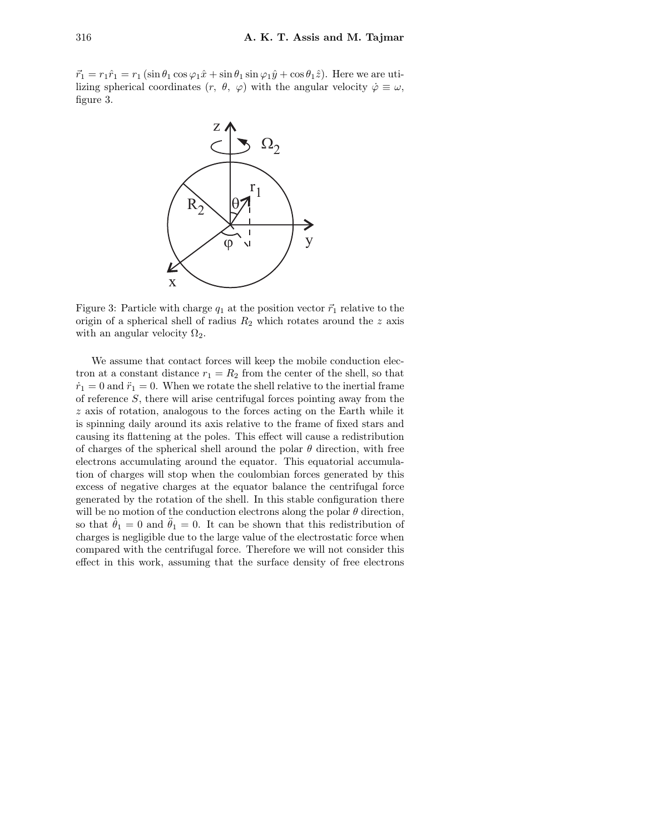$\vec{r}_1 = r_1 \hat{r}_1 = r_1 (\sin \theta_1 \cos \varphi_1 \hat{x} + \sin \theta_1 \sin \varphi_1 \hat{y} + \cos \theta_1 \hat{z}).$  Here we are utilizing spherical coordinates  $(r, \theta, \varphi)$  with the angular velocity  $\dot{\varphi} \equiv \omega$ , figure 3.



Figure 3: Particle with charge  $q_1$  at the position vector  $\vec{r}_1$  relative to the origin of a spherical shell of radius  $R_2$  which rotates around the z axis with an angular velocity  $\Omega_2$ .

We assume that contact forces will keep the mobile conduction electron at a constant distance  $r_1 = R_2$  from the center of the shell, so that  $\dot{r}_1 = 0$  and  $\ddot{r}_1 = 0$ . When we rotate the shell relative to the inertial frame of reference S, there will arise centrifugal forces pointing away from the z axis of rotation, analogous to the forces acting on the Earth while it is spinning daily around its axis relative to the frame of fixed stars and causing its flattening at the poles. This effect will cause a redistribution of charges of the spherical shell around the polar  $\theta$  direction, with free electrons accumulating around the equator. This equatorial accumulation of charges will stop when the coulombian forces generated by this excess of negative charges at the equator balance the centrifugal force generated by the rotation of the shell. In this stable configuration there will be no motion of the conduction electrons along the polar  $\theta$  direction, so that  $\dot{\theta}_1 = 0$  and  $\ddot{\theta}_1 = 0$ . It can be shown that this redistribution of charges is negligible due to the large value of the electrostatic force when compared with the centrifugal force. Therefore we will not consider this effect in this work, assuming that the surface density of free electrons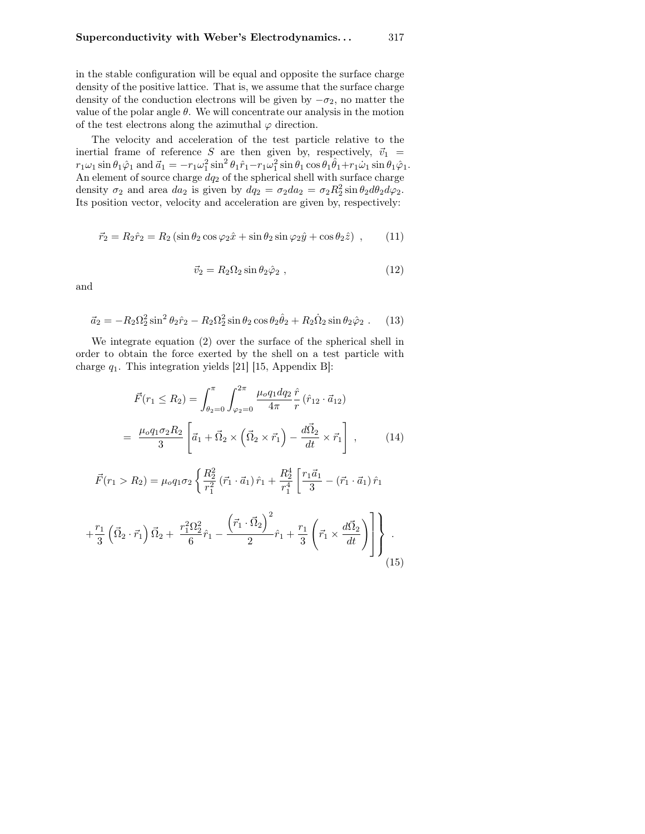in the stable configuration will be equal and opposite the surface charge density of the positive lattice. That is, we assume that the surface charge density of the conduction electrons will be given by  $-\sigma_2$ , no matter the value of the polar angle  $\theta$ . We will concentrate our analysis in the motion of the test electrons along the azimuthal  $\varphi$  direction.

The velocity and acceleration of the test particle relative to the inertial frame of reference S are then given by, respectively,  $\vec{v}_1$  =  $r_1\omega_1\sin\theta_1\hat{\varphi}_1$  and  $\vec{a}_1 = -r_1\omega_1^2\sin^2\theta_1\hat{r}_1 - r_1\omega_1^2\sin\theta_1\cos\theta_1\hat{\theta}_1 + r_1\dot{\omega}_1\sin\theta_1\hat{\varphi}_1$ . An element of source charge  $dq_2$  of the spherical shell with surface charge density  $\sigma_2$  and area  $da_2$  is given by  $dq_2 = \sigma_2 da_2 = \sigma_2 R_2^2 \sin \theta_2 d\theta_2 d\varphi_2$ . Its position vector, velocity and acceleration are given by, respectively:

$$
\vec{r}_2 = R_2 \hat{r}_2 = R_2 \left( \sin \theta_2 \cos \varphi_2 \hat{x} + \sin \theta_2 \sin \varphi_2 \hat{y} + \cos \theta_2 \hat{z} \right) , \qquad (11)
$$

$$
\vec{v}_2 = R_2 \Omega_2 \sin \theta_2 \hat{\varphi}_2 , \qquad (12)
$$

and

$$
\vec{a}_2 = -R_2 \Omega_2^2 \sin^2 \theta_2 \hat{r}_2 - R_2 \Omega_2^2 \sin \theta_2 \cos \theta_2 \hat{\theta}_2 + R_2 \dot{\Omega}_2 \sin \theta_2 \hat{\varphi}_2. \tag{13}
$$

We integrate equation (2) over the surface of the spherical shell in order to obtain the force exerted by the shell on a test particle with charge  $q_1$ . This integration yields [21] [15, Appendix B]:

$$
\vec{F}(r_1 \le R_2) = \int_{\theta_2=0}^{\pi} \int_{\varphi_2=0}^{2\pi} \frac{\mu_o q_1 dq_2 \hat{r}}{4\pi} \hat{r} (\hat{r}_{12} \cdot \vec{a}_{12})
$$

$$
= \frac{\mu_o q_1 \sigma_2 R_2}{3} \left[ \vec{a}_1 + \vec{\Omega}_2 \times (\vec{\Omega}_2 \times \vec{r}_1) - \frac{d\vec{\Omega}_2}{dt} \times \vec{r}_1 \right], \qquad (14)
$$

$$
\vec{F}(r_1 > R_2) = \mu_o q_1 \sigma_2 \left\{ \frac{R_2^2}{r_1^2} \left( \vec{r}_1 \cdot \vec{a}_1 \right) \hat{r}_1 + \frac{R_2^4}{r_1^4} \left[ \frac{r_1 \vec{a}_1}{3} - \left( \vec{r}_1 \cdot \vec{a}_1 \right) \hat{r}_1 \right] \right\}
$$

$$
+\frac{r_1}{3}\left(\vec{\Omega}_2 \cdot \vec{r}_1\right)\vec{\Omega}_2 + \frac{r_1^2 \Omega_2^2}{6}\hat{r}_1 - \frac{\left(\vec{r}_1 \cdot \vec{\Omega}_2\right)^2}{2}\hat{r}_1 + \frac{r_1}{3}\left(\vec{r}_1 \times \frac{d\vec{\Omega}_2}{dt}\right)\right].
$$
\n(15)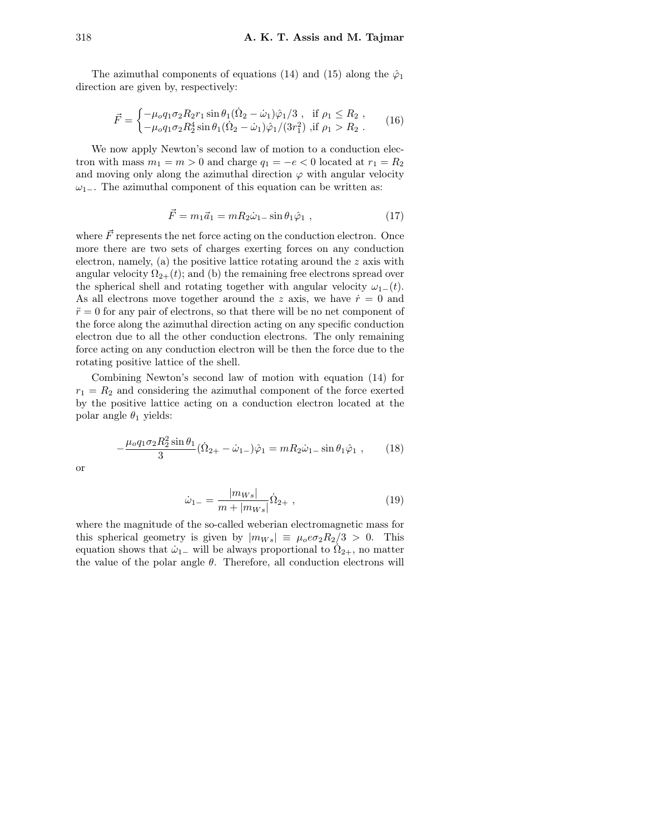The azimuthal components of equations (14) and (15) along the  $\hat{\varphi}_1$ direction are given by, respectively:

$$
\vec{F} = \begin{cases}\n-\mu_0 q_1 \sigma_2 R_2 r_1 \sin \theta_1 (\dot{\Omega}_2 - \dot{\omega}_1) \dot{\varphi}_1 / 3, & \text{if } \rho_1 \le R_2, \\
-\mu_0 q_1 \sigma_2 R_2^4 \sin \theta_1 (\dot{\Omega}_2 - \dot{\omega}_1) \dot{\varphi}_1 / (3r_1^2), & \text{if } \rho_1 > R_2.\n\end{cases}
$$
\n(16)

We now apply Newton's second law of motion to a conduction electron with mass  $m_1 = m > 0$  and charge  $q_1 = -e < 0$  located at  $r_1 = R_2$ and moving only along the azimuthal direction  $\varphi$  with angular velocity  $\omega_{1-}$ . The azimuthal component of this equation can be written as:

$$
\vec{F} = m_1 \vec{a}_1 = m R_2 \dot{\omega}_{1-} \sin \theta_1 \hat{\varphi}_1 , \qquad (17)
$$

where  $\vec{F}$  represents the net force acting on the conduction electron. Once more there are two sets of charges exerting forces on any conduction electron, namely, (a) the positive lattice rotating around the  $z$  axis with angular velocity  $\Omega_{2+}(t)$ ; and (b) the remaining free electrons spread over the spherical shell and rotating together with angular velocity  $\omega_{1-}(t)$ . As all electrons move together around the z axis, we have  $\dot{r}=0$  and  $\ddot{r}=0$  for any pair of electrons, so that there will be no net component of the force along the azimuthal direction acting on any specific conduction electron due to all the other conduction electrons. The only remaining force acting on any conduction electron will be then the force due to the rotating positive lattice of the shell.

Combining Newton's second law of motion with equation (14) for  $r_1 = R_2$  and considering the azimuthal component of the force exerted by the positive lattice acting on a conduction electron located at the polar angle  $\theta_1$  yields:

$$
-\frac{\mu_o q_1 \sigma_2 R_2^2 \sin \theta_1}{3} (\dot{\Omega}_{2+} - \dot{\omega}_{1-}) \hat{\varphi}_1 = m R_2 \dot{\omega}_{1-} \sin \theta_1 \hat{\varphi}_1 ,\qquad(18)
$$

or

$$
\dot{\omega}_{1-} = \frac{|m_{Ws}|}{m + |m_{Ws}|} \dot{\Omega}_{2+} \,, \tag{19}
$$

where the magnitude of the so-called weberian electromagnetic mass for this spherical geometry is given by  $|m_{Ws}| \equiv \mu_o e \sigma_2 R_2/3 > 0$ . This equation shows that  $\dot{\omega}_{1-}$  will be always proportional to  $\dot{\Omega}_{2+}$ , no matter the value of the polar angle  $\theta$ . Therefore, all conduction electrons will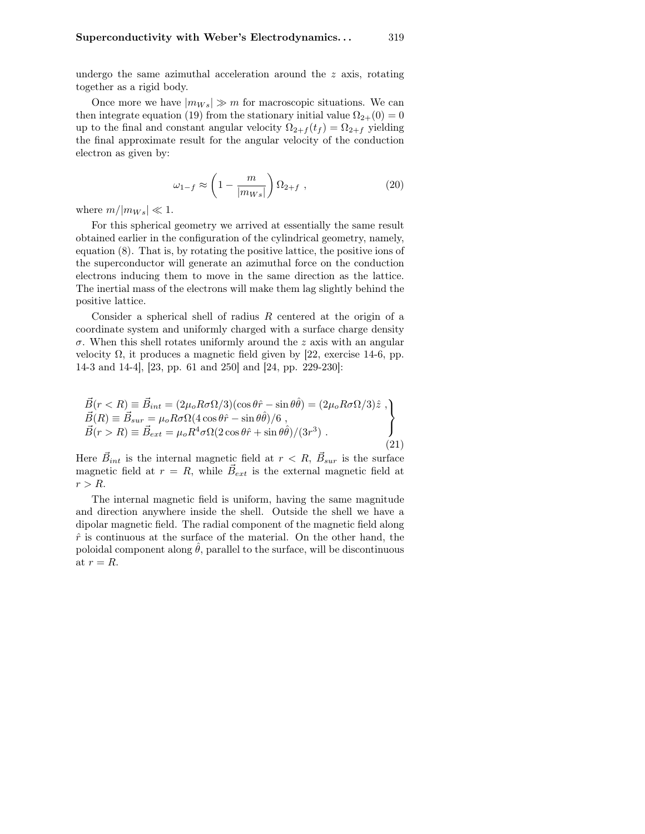undergo the same azimuthal acceleration around the  $z$  axis, rotating together as a rigid body.

Once more we have  $|m_{Ws}| \gg m$  for macroscopic situations. We can then integrate equation (19) from the stationary initial value  $\Omega_{2+}(0) = 0$ up to the final and constant angular velocity  $\Omega_{2+f}(t_f) = \Omega_{2+f}$  yielding the final approximate result for the angular velocity of the conduction electron as given by:

$$
\omega_{1-f} \approx \left(1 - \frac{m}{|m_{Ws}|}\right) \Omega_{2+f} , \qquad (20)
$$

where  $m/|m_{Ws}| \ll 1$ .

For this spherical geometry we arrived at essentially the same result obtained earlier in the configuration of the cylindrical geometry, namely, equation (8). That is, by rotating the positive lattice, the positive ions of the superconductor will generate an azimuthal force on the conduction electrons inducing them to move in the same direction as the lattice. The inertial mass of the electrons will make them lag slightly behind the positive lattice.

Consider a spherical shell of radius R centered at the origin of a coordinate system and uniformly charged with a surface charge density  $\sigma$ . When this shell rotates uniformly around the z axis with an angular velocity Ω, it produces a magnetic field given by [22, exercise 14-6, pp. 14-3 and 14-4], [23, pp. 61 and 250] and [24, pp. 229-230]:

$$
\vec{B}(r < R) \equiv \vec{B}_{int} = (2\mu_o R \sigma \Omega/3)(\cos\theta \hat{r} - \sin\theta \hat{\theta}) = (2\mu_o R \sigma \Omega/3)\hat{z} ,
$$
\n
$$
\vec{B}(R) \equiv \vec{B}_{sur} = \mu_o R \sigma \Omega (4\cos\theta \hat{r} - \sin\theta \hat{\theta})/6 ,
$$
\n
$$
\vec{B}(r > R) \equiv \vec{B}_{ext} = \mu_o R^4 \sigma \Omega (2\cos\theta \hat{r} + \sin\theta \hat{\theta})/(3r^3) .
$$
\n(21)

Here  $\vec{B}_{int}$  is the internal magnetic field at  $r < R$ ,  $\vec{B}_{sur}$  is the surface magnetic field at  $r = R$ , while  $\vec{B}_{ext}$  is the external magnetic field at  $r > R$ .

The internal magnetic field is uniform, having the same magnitude and direction anywhere inside the shell. Outside the shell we have a dipolar magnetic field. The radial component of the magnetic field along  $\hat{r}$  is continuous at the surface of the material. On the other hand, the poloidal component along  $\hat{\theta}$ , parallel to the surface, will be discontinuous at  $r = R$ .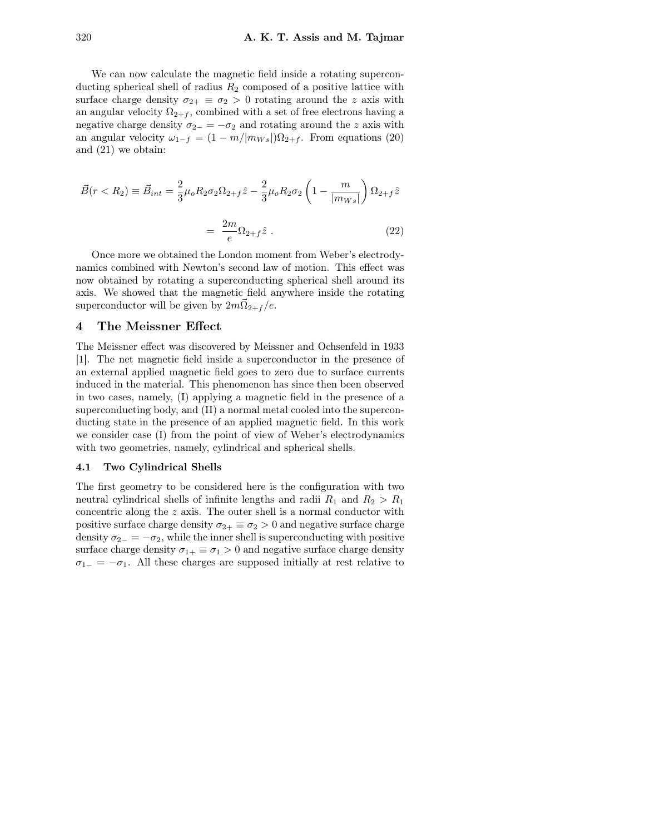We can now calculate the magnetic field inside a rotating superconducting spherical shell of radius  $R_2$  composed of a positive lattice with surface charge density  $\sigma_{2+} \equiv \sigma_2 > 0$  rotating around the z axis with an angular velocity  $\Omega_{2+f}$ , combined with a set of free electrons having a negative charge density  $\sigma_{2-} = -\sigma_2$  and rotating around the z axis with an angular velocity  $\omega_{1-f} = (1 - m/|m_{Ws}|)\Omega_{2+f}$ . From equations (20) and (21) we obtain:

$$
\vec{B}(r < R_2) \equiv \vec{B}_{int} = \frac{2}{3}\mu_o R_2 \sigma_2 \Omega_{2+f} \hat{z} - \frac{2}{3}\mu_o R_2 \sigma_2 \left(1 - \frac{m}{|m_{Ws}|}\right) \Omega_{2+f} \hat{z}
$$
\n
$$
= \frac{2m}{e} \Omega_{2+f} \hat{z} \tag{22}
$$

Once more we obtained the London moment from Weber's electrodynamics combined with Newton's second law of motion. This effect was now obtained by rotating a superconducting spherical shell around its axis. We showed that the magnetic field anywhere inside the rotating superconductor will be given by  $2m\vec{\Omega}_{2+f}/e$ .

#### 4 The Meissner Effect

The Meissner effect was discovered by Meissner and Ochsenfeld in 1933 [1]. The net magnetic field inside a superconductor in the presence of an external applied magnetic field goes to zero due to surface currents induced in the material. This phenomenon has since then been observed in two cases, namely, (I) applying a magnetic field in the presence of a superconducting body, and (II) a normal metal cooled into the superconducting state in the presence of an applied magnetic field. In this work we consider case (I) from the point of view of Weber's electrodynamics with two geometries, namely, cylindrical and spherical shells.

#### 4.1 Two Cylindrical Shells

The first geometry to be considered here is the configuration with two neutral cylindrical shells of infinite lengths and radii  $R_1$  and  $R_2 > R_1$ concentric along the z axis. The outer shell is a normal conductor with positive surface charge density  $\sigma_{2+} \equiv \sigma_2 > 0$  and negative surface charge density  $\sigma_{2-} = -\sigma_2$ , while the inner shell is superconducting with positive surface charge density  $\sigma_{1+} \equiv \sigma_1 > 0$  and negative surface charge density  $\sigma_{1-} = -\sigma_1$ . All these charges are supposed initially at rest relative to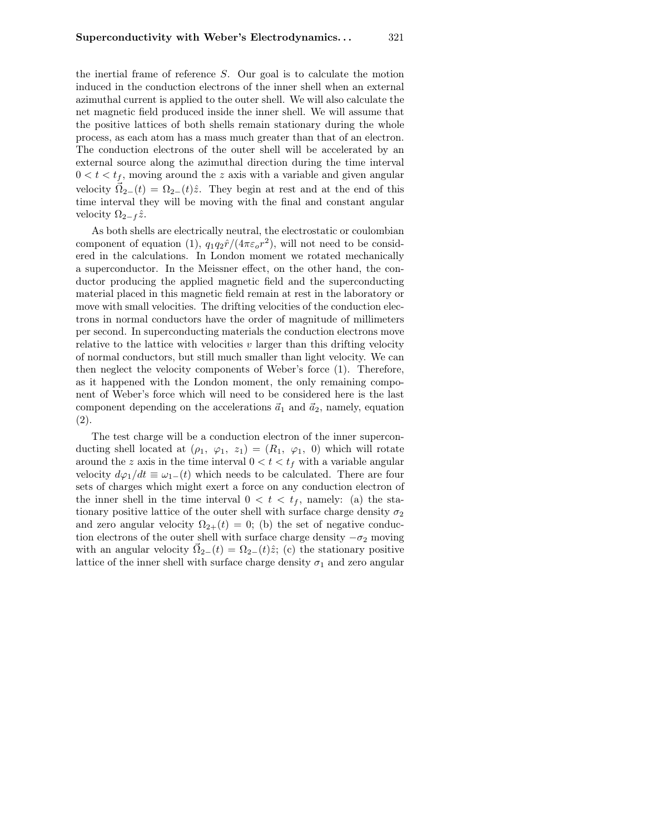the inertial frame of reference S. Our goal is to calculate the motion induced in the conduction electrons of the inner shell when an external azimuthal current is applied to the outer shell. We will also calculate the net magnetic field produced inside the inner shell. We will assume that the positive lattices of both shells remain stationary during the whole process, as each atom has a mass much greater than that of an electron. The conduction electrons of the outer shell will be accelerated by an external source along the azimuthal direction during the time interval  $0 < t < t<sub>f</sub>$ , moving around the z axis with a variable and given angular velocity  $\vec{\Omega}_{2-}(t) = \Omega_{2-}(t)\hat{z}$ . They begin at rest and at the end of this time interval they will be moving with the final and constant angular velocity  $\Omega_{2-f} \hat{z}$ .

As both shells are electrically neutral, the electrostatic or coulombian component of equation (1),  $q_1q_2\hat{r}/(4\pi\epsilon_o r^2)$ , will not need to be considered in the calculations. In London moment we rotated mechanically a superconductor. In the Meissner effect, on the other hand, the conductor producing the applied magnetic field and the superconducting material placed in this magnetic field remain at rest in the laboratory or move with small velocities. The drifting velocities of the conduction electrons in normal conductors have the order of magnitude of millimeters per second. In superconducting materials the conduction electrons move relative to the lattice with velocities  $v$  larger than this drifting velocity of normal conductors, but still much smaller than light velocity. We can then neglect the velocity components of Weber's force (1). Therefore, as it happened with the London moment, the only remaining component of Weber's force which will need to be considered here is the last component depending on the accelerations  $\vec{a}_1$  and  $\vec{a}_2$ , namely, equation (2).

The test charge will be a conduction electron of the inner superconducting shell located at  $(\rho_1, \varphi_1, z_1) = (R_1, \varphi_1, 0)$  which will rotate around the z axis in the time interval  $0 < t < t_f$  with a variable angular velocity  $d\varphi_1/dt \equiv \omega_{1-}(t)$  which needs to be calculated. There are four sets of charges which might exert a force on any conduction electron of the inner shell in the time interval  $0 < t < t_f$ , namely: (a) the stationary positive lattice of the outer shell with surface charge density  $\sigma_2$ and zero angular velocity  $\Omega_{2+}(t) = 0$ ; (b) the set of negative conduction electrons of the outer shell with surface charge density  $-\sigma_2$  moving with an angular velocity  $\vec{\Omega}_{2-}(t) = \Omega_{2-}(t)\hat{z}$ ; (c) the stationary positive lattice of the inner shell with surface charge density  $\sigma_1$  and zero angular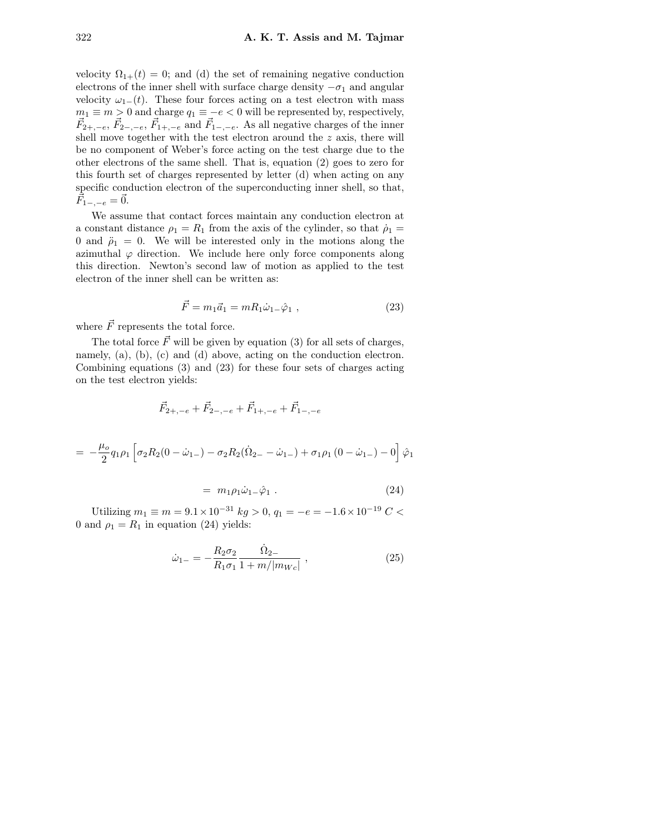velocity  $\Omega_{1+}(t) = 0$ ; and (d) the set of remaining negative conduction electrons of the inner shell with surface charge density  $-\sigma_1$  and angular velocity  $\omega_{1-}(t)$ . These four forces acting on a test electron with mass  $m_1 \equiv m > 0$  and charge  $q_1 \equiv -e < 0$  will be represented by, respectively,  $\vec{F}_{2+,-e}, \vec{F}_{2-,-e}, \vec{F}_{1+,-e}$  and  $\vec{F}_{1-,-e}$ . As all negative charges of the inner shell move together with the test electron around the  $z$  axis, there will be no component of Weber's force acting on the test charge due to the other electrons of the same shell. That is, equation (2) goes to zero for this fourth set of charges represented by letter (d) when acting on any specific conduction electron of the superconducting inner shell, so that,  $\vec{F}_{1-,-e} = \vec{0}.$ 

We assume that contact forces maintain any conduction electron at a constant distance  $\rho_1 = R_1$  from the axis of the cylinder, so that  $\rho_1 =$ 0 and  $\ddot{\rho}_1 = 0$ . We will be interested only in the motions along the azimuthal  $\varphi$  direction. We include here only force components along this direction. Newton's second law of motion as applied to the test electron of the inner shell can be written as:

$$
\vec{F} = m_1 \vec{a}_1 = m R_1 \dot{\omega}_1 - \hat{\varphi}_1 , \qquad (23)
$$

where  $\vec{F}$  represents the total force.

The total force  $\vec{F}$  will be given by equation (3) for all sets of charges, namely, (a), (b), (c) and (d) above, acting on the conduction electron. Combining equations (3) and (23) for these four sets of charges acting on the test electron yields:

$$
\vec{F}_{2+,-e} + \vec{F}_{2-,-e} + \vec{F}_{1+,-e} + \vec{F}_{1-,-e}
$$
\n
$$
= -\frac{\mu_o}{2} q_1 \rho_1 \left[ \sigma_2 R_2 (0 - \dot{\omega}_{1-}) - \sigma_2 R_2 (\dot{\Omega}_{2-} - \dot{\omega}_{1-}) + \sigma_1 \rho_1 (0 - \dot{\omega}_{1-}) - 0 \right] \hat{\varphi}_1
$$

$$
= m_1 \rho_1 \dot{\omega}_1 \dot{\varphi}_1 \,. \tag{24}
$$

Utilizing  $m_1 \equiv m = 9.1 \times 10^{-31}$  kg > 0,  $q_1 = -e = -1.6 \times 10^{-19}$  C < 0 and  $\rho_1 = R_1$  in equation (24) yields:

$$
\dot{\omega}_{1-} = -\frac{R_2 \sigma_2}{R_1 \sigma_1} \frac{\dot{\Omega}_{2-}}{1 + m/|m_{We}|} \,, \tag{25}
$$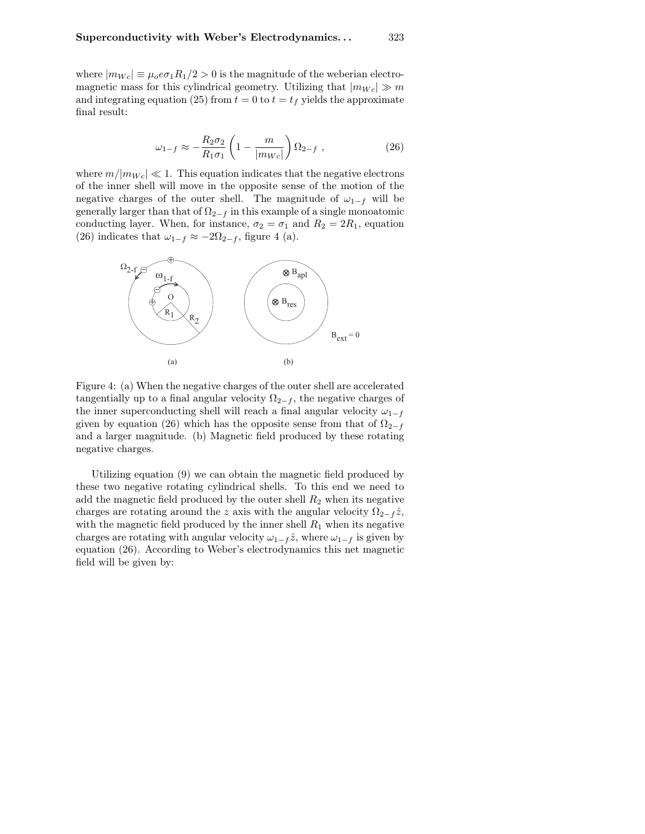where  $|m_{Wc}| \equiv \mu_0 e \sigma_1 R_1/2 > 0$  is the magnitude of the weberian electromagnetic mass for this cylindrical geometry. Utilizing that  $|m_{Wc}| \gg m$ and integrating equation (25) from  $t = 0$  to  $t = t_f$  yields the approximate final result:

$$
\omega_{1-f} \approx -\frac{R_2 \sigma_2}{R_1 \sigma_1} \left( 1 - \frac{m}{|m_{We}|} \right) \Omega_{2-f} , \qquad (26)
$$

where  $m/|m_{Wc}| \ll 1$ . This equation indicates that the negative electrons of the inner shell will move in the opposite sense of the motion of the negative charges of the outer shell. The magnitude of  $\omega_{1-f}$  will be generally larger than that of  $\Omega_{2-f}$  in this example of a single monoatomic conducting layer. When, for instance,  $\sigma_2 = \sigma_1$  and  $R_2 = 2R_1$ , equation (26) indicates that  $\omega_{1-f} \approx -2\Omega_{2-f}$ , figure 4 (a).



Figure 4: (a) When the negative charges of the outer shell are accelerated tangentially up to a final angular velocity  $\Omega_{2-f}$ , the negative charges of the inner superconducting shell will reach a final angular velocity  $\omega_{1-f}$ given by equation (26) which has the opposite sense from that of  $\Omega_{2-f}$ and a larger magnitude. (b) Magnetic field produced by these rotating negative charges.

Utilizing equation (9) we can obtain the magnetic field produced by these two negative rotating cylindrical shells. To this end we need to add the magnetic field produced by the outer shell  $R_2$  when its negative charges are rotating around the z axis with the angular velocity  $\Omega_{2-f} \hat{z}$ , with the magnetic field produced by the inner shell  $R_1$  when its negative charges are rotating with angular velocity  $\omega_{1-f} \hat{z}$ , where  $\omega_{1-f}$  is given by equation (26). According to Weber's electrodynamics this net magnetic field will be given by: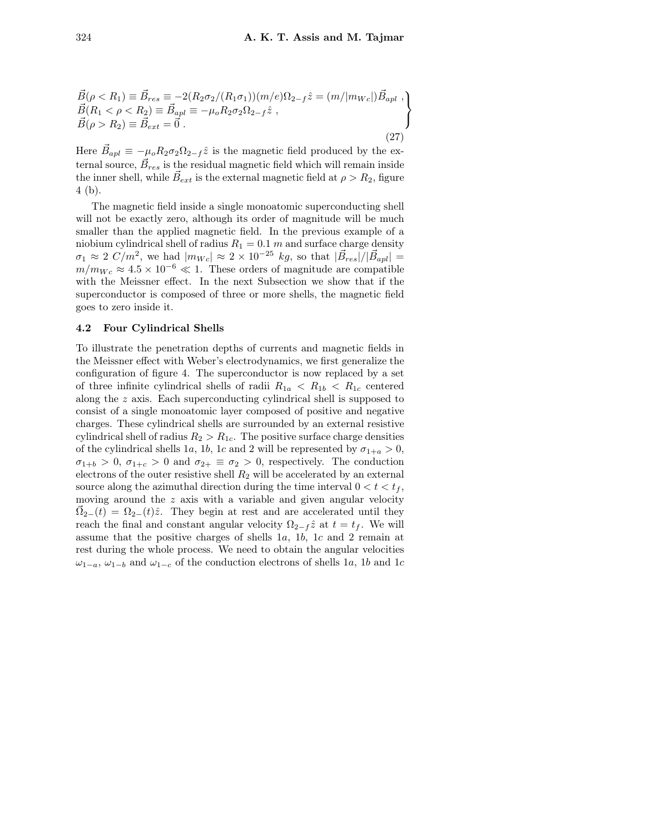$$
\vec{B}(\rho < R_1) \equiv \vec{B}_{res} \equiv -2(R_2\sigma_2/(R_1\sigma_1))(m/e)\Omega_{2-f}\hat{z} = (m/|m_{We}|)\vec{B}_{apl} \ ,\n\vec{B}(R_1 < \rho < R_2) \equiv \vec{B}_{apl} \equiv -\mu_o R_2\sigma_2\Omega_{2-f}\hat{z} \ ,\n\vec{B}(\rho > R_2) \equiv \vec{B}_{ext} = \vec{0} \ .
$$
\n(27)

Here  $\vec{B}_{apl} \equiv -\mu_o R_2 \sigma_2 \Omega_{2-f} \hat{z}$  is the magnetic field produced by the external source,  $\vec{B}_{res}$  is the residual magnetic field which will remain inside the inner shell, while  $\vec{B}_{ext}$  is the external magnetic field at  $\rho > R_2$ , figure 4 (b).

The magnetic field inside a single monoatomic superconducting shell will not be exactly zero, although its order of magnitude will be much smaller than the applied magnetic field. In the previous example of a niobium cylindrical shell of radius  $R_1 = 0.1$  m and surface charge density  $\sigma_1 \approx 2 C/m^2$ , we had  $|m_{Wc}| \approx 2 \times 10^{-25} kg$ , so that  $|\vec{B}_{res}|/|\vec{B}_{apl}| =$  $m/m_{Wc} \approx 4.5 \times 10^{-6} \ll 1$ . These orders of magnitude are compatible with the Meissner effect. In the next Subsection we show that if the superconductor is composed of three or more shells, the magnetic field goes to zero inside it.

#### 4.2 Four Cylindrical Shells

To illustrate the penetration depths of currents and magnetic fields in the Meissner effect with Weber's electrodynamics, we first generalize the configuration of figure 4. The superconductor is now replaced by a set of three infinite cylindrical shells of radii  $R_{1a} < R_{1b} < R_{1c}$  centered along the z axis. Each superconducting cylindrical shell is supposed to consist of a single monoatomic layer composed of positive and negative charges. These cylindrical shells are surrounded by an external resistive cylindrical shell of radius  $R_2 > R_{1c}$ . The positive surface charge densities of the cylindrical shells 1a, 1b, 1c and 2 will be represented by  $\sigma_{1+a} > 0$ ,  $\sigma_{1+b} > 0$ ,  $\sigma_{1+c} > 0$  and  $\sigma_{2+} \equiv \sigma_2 > 0$ , respectively. The conduction electrons of the outer resistive shell  $R_2$  will be accelerated by an external source along the azimuthal direction during the time interval  $0 < t < t_f$ , moving around the  $z$  axis with a variable and given angular velocity  $\vec{\Omega}_{2-}(t) = \Omega_{2-}(t)\hat{z}$ . They begin at rest and are accelerated until they reach the final and constant angular velocity  $\Omega_{2-f} \hat{z}$  at  $t = t_f$ . We will assume that the positive charges of shells 1a, 1b, 1c and 2 remain at rest during the whole process. We need to obtain the angular velocities  $\omega_{1-a}, \omega_{1-b}$  and  $\omega_{1-c}$  of the conduction electrons of shells 1a, 1b and 1c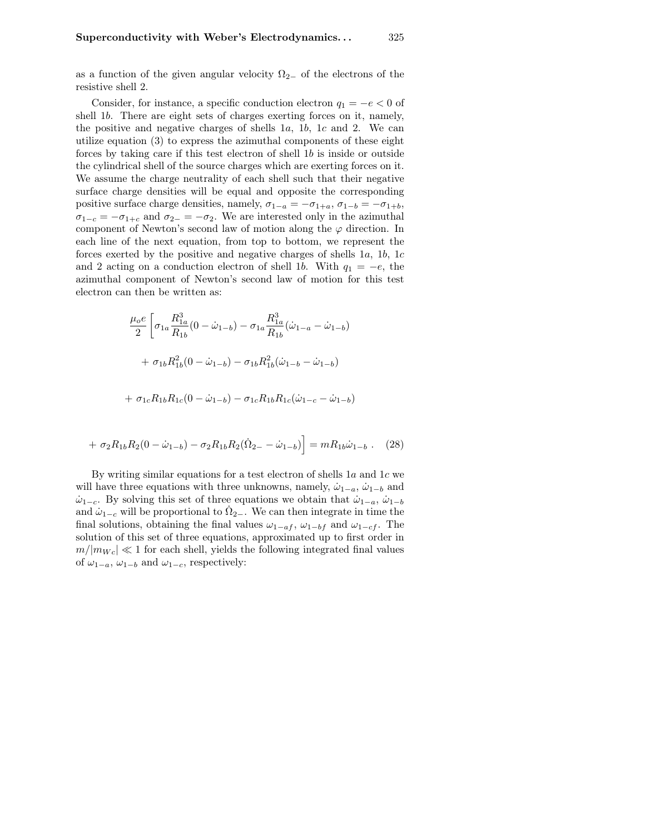as a function of the given angular velocity  $\Omega_{2-}$  of the electrons of the resistive shell 2.

Consider, for instance, a specific conduction electron  $q_1 = -e < 0$  of shell 1b. There are eight sets of charges exerting forces on it, namely, the positive and negative charges of shells  $1a$ ,  $1b$ ,  $1c$  and  $2$ . We can utilize equation (3) to express the azimuthal components of these eight forces by taking care if this test electron of shell 1b is inside or outside the cylindrical shell of the source charges which are exerting forces on it. We assume the charge neutrality of each shell such that their negative surface charge densities will be equal and opposite the corresponding positive surface charge densities, namely,  $\sigma_{1-a} = -\sigma_{1+a}, \sigma_{1-b} = -\sigma_{1+b}$ ,  $\sigma_{1-c} = -\sigma_{1+c}$  and  $\sigma_{2-} = -\sigma_2$ . We are interested only in the azimuthal component of Newton's second law of motion along the  $\varphi$  direction. In each line of the next equation, from top to bottom, we represent the forces exerted by the positive and negative charges of shells 1a, 1b, 1c and 2 acting on a conduction electron of shell 1b. With  $q_1 = -e$ , the azimuthal component of Newton's second law of motion for this test electron can then be written as:

$$
\frac{\mu_o e}{2} \left[ \sigma_{1a} \frac{R_{1a}^3}{R_{1b}} (0 - \dot{\omega}_{1-b}) - \sigma_{1a} \frac{R_{1a}^3}{R_{1b}} (\dot{\omega}_{1-a} - \dot{\omega}_{1-b}) \right]
$$

$$
+ \sigma_{1b} R_{1b}^2 (0 - \dot{\omega}_{1-b}) - \sigma_{1b} R_{1b}^2 (\dot{\omega}_{1-b} - \dot{\omega}_{1-b})
$$

$$
+ \sigma_{1c} R_{1b} R_{1c} (0 - \dot{\omega}_{1-b}) - \sigma_{1c} R_{1b} R_{1c} (\dot{\omega}_{1-c} - \dot{\omega}_{1-b})
$$

$$
+ \sigma_2 R_{1b} R_2 (0 - \dot{\omega}_{1-b}) - \sigma_2 R_{1b} R_2 (\dot{\Omega}_{2-} - \dot{\omega}_{1-b}) = m R_{1b} \dot{\omega}_{1-b} . \quad (28)
$$

By writing similar equations for a test electron of shells  $1a$  and  $1c$  we will have three equations with three unknowns, namely,  $\dot{\omega}_{1-a}$ ,  $\dot{\omega}_{1-b}$  and  $\dot{\omega}_{1-c}$ . By solving this set of three equations we obtain that  $\dot{\omega}_{1-a}$ ,  $\dot{\omega}_{1-b}$ and  $\dot{\omega}_{1-c}$  will be proportional to  $\dot{\Omega}_{2-c}$ . We can then integrate in time the final solutions, obtaining the final values  $\omega_{1-a}$ ,  $\omega_{1-b}$  and  $\omega_{1-c}$ . The solution of this set of three equations, approximated up to first order in  $m/|m_{Wc}| \ll 1$  for each shell, yields the following integrated final values of  $\omega_{1-a}$ ,  $\omega_{1-b}$  and  $\omega_{1-c}$ , respectively: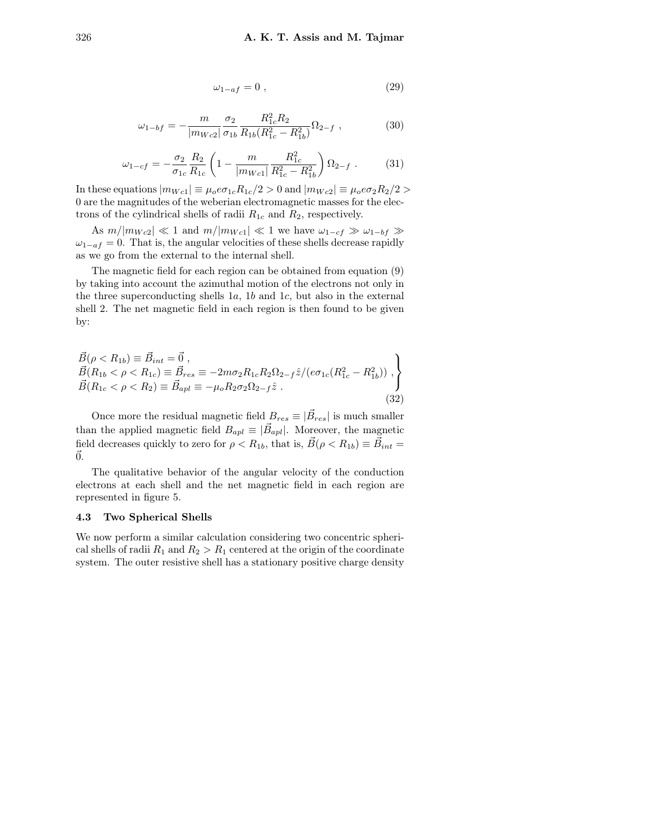$$
\omega_{1-af} = 0 \tag{29}
$$

$$
\omega_{1-bf} = -\frac{m}{|m_{Wc2}|} \frac{\sigma_2}{\sigma_{1b}} \frac{R_{1c}^2 R_2}{R_{1b}(R_{1c}^2 - R_{1b}^2)} \Omega_{2-f} , \qquad (30)
$$

$$
\omega_{1-cf} = -\frac{\sigma_2}{\sigma_{1c}} \frac{R_2}{R_{1c}} \left( 1 - \frac{m}{|m_{Wc1}|} \frac{R_{1c}^2}{R_{1c}^2 - R_{1b}^2} \right) \Omega_{2-f} \ . \tag{31}
$$

In these equations  $|m_{Wc1}| \equiv \mu_0 e \sigma_{1c} R_{1c}/2 > 0$  and  $|m_{Wc2}| \equiv \mu_0 e \sigma_2 R_2/2 >$ 0 are the magnitudes of the weberian electromagnetic masses for the electrons of the cylindrical shells of radii  $R_{1c}$  and  $R_2$ , respectively.

As  $m/|m_{Wc2}| \ll 1$  and  $m/|m_{Wc1}| \ll 1$  we have  $\omega_{1-cf} \gg \omega_{1-bf} \gg$  $\omega_{1-af} = 0$ . That is, the angular velocities of these shells decrease rapidly as we go from the external to the internal shell.

The magnetic field for each region can be obtained from equation (9) by taking into account the azimuthal motion of the electrons not only in the three superconducting shells  $1a$ ,  $1b$  and  $1c$ , but also in the external shell 2. The net magnetic field in each region is then found to be given by:

$$
\vec{B}(\rho < R_{1b}) \equiv \vec{B}_{int} = \vec{0}, \n\vec{B}(R_{1b} < \rho < R_{1c}) \equiv \vec{B}_{res} \equiv -2m\sigma_2 R_{1c} R_2 \Omega_{2-f} \hat{z} / (e\sigma_{1c}(R_{1c}^2 - R_{1b}^2)) , \n\vec{B}(R_{1c} < \rho < R_2) \equiv \vec{B}_{apl} \equiv -\mu_o R_2 \sigma_2 \Omega_{2-f} \hat{z} .
$$
\n(32)

Once more the residual magnetic field  $B_{res} \equiv |\vec{B}_{res}|$  is much smaller than the applied magnetic field  $B_{apl} \equiv |\vec{B}_{apl}|$ . Moreover, the magnetic field decreases quickly to zero for  $\rho < R_{1b}$ , that is,  $\vec{B}(\rho < R_{1b}) \equiv \vec{B}_{int}$  $\vec{0}$ .

The qualitative behavior of the angular velocity of the conduction electrons at each shell and the net magnetic field in each region are represented in figure 5.

#### 4.3 Two Spherical Shells

We now perform a similar calculation considering two concentric spherical shells of radii  $R_1$  and  $R_2 > R_1$  centered at the origin of the coordinate system. The outer resistive shell has a stationary positive charge density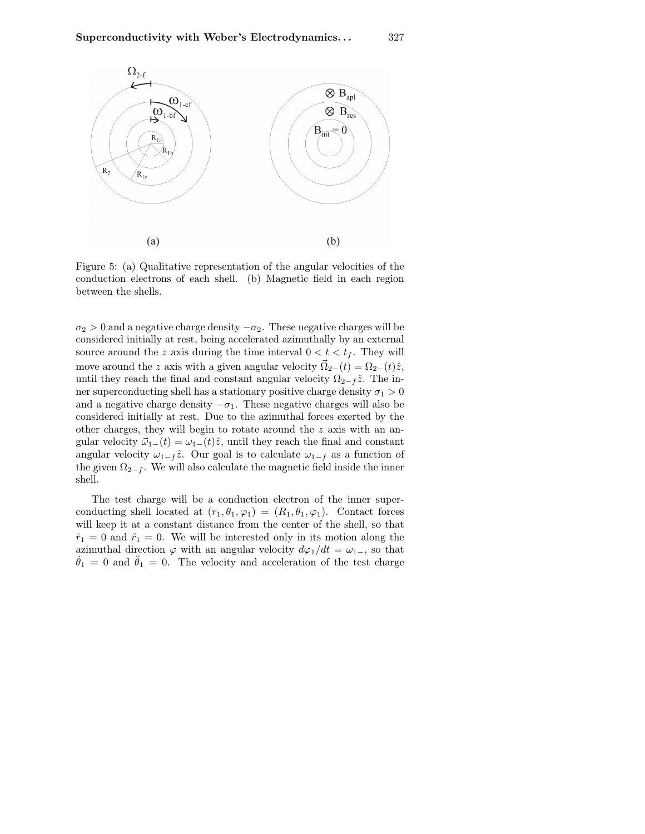

Figure 5: (a) Qualitative representation of the angular velocities of the conduction electrons of each shell. (b) Magnetic field in each region between the shells.

 $\sigma_2 > 0$  and a negative charge density  $-\sigma_2$ . These negative charges will be considered initially at rest, being accelerated azimuthally by an external source around the z axis during the time interval  $0 < t < t_f$ . They will move around the z axis with a given angular velocity  $\vec{\Omega}_{2-}(t) = \Omega_{2-}(t)\hat{z}$ , until they reach the final and constant angular velocity  $\Omega_{2-f} \hat{z}$ . The inner superconducting shell has a stationary positive charge density  $\sigma_1 > 0$ and a negative charge density  $-\sigma_1$ . These negative charges will also be considered initially at rest. Due to the azimuthal forces exerted by the other charges, they will begin to rotate around the z axis with an angular velocity  $\vec{\omega}_{1-}(t) = \omega_{1-}(t)\hat{z}$ , until they reach the final and constant angular velocity  $\omega_{1-f} \hat{z}$ . Our goal is to calculate  $\omega_{1-f}$  as a function of the given  $\Omega_{2-f}$ . We will also calculate the magnetic field inside the inner shell.

The test charge will be a conduction electron of the inner superconducting shell located at  $(r_1, \theta_1, \varphi_1) = (R_1, \theta_1, \varphi_1)$ . Contact forces will keep it at a constant distance from the center of the shell, so that  $\dot{r}_1 = 0$  and  $\ddot{r}_1 = 0$ . We will be interested only in its motion along the azimuthal direction  $\varphi$  with an angular velocity  $d\varphi_1/dt = \omega_{1-}$ , so that  $\dot{\theta}_1 = 0$  and  $\ddot{\theta}_1 = 0$ . The velocity and acceleration of the test charge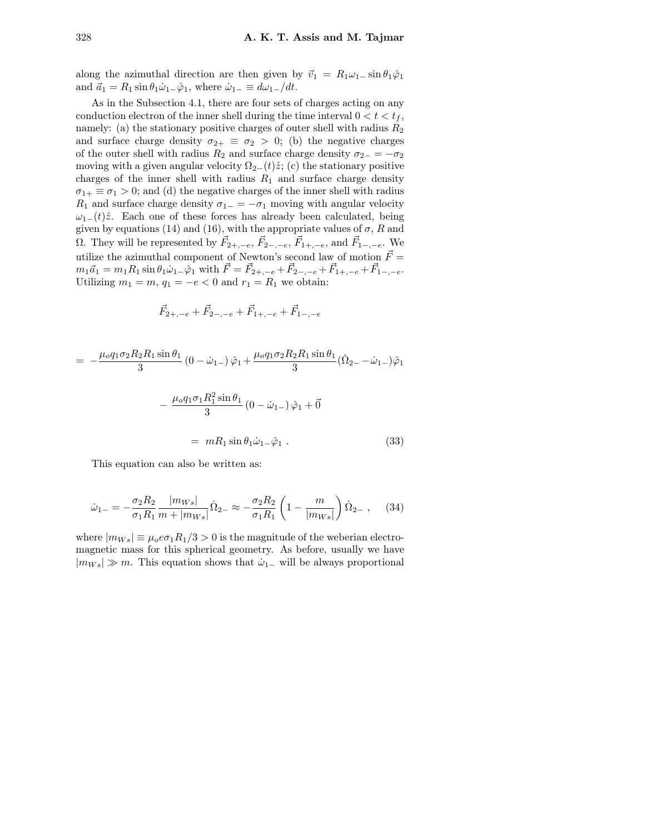along the azimuthal direction are then given by  $\vec{v}_1 = R_1 \omega_1 - \sin \theta_1 \hat{\varphi}_1$ and  $\vec{a}_1 = R_1 \sin \theta_1 \dot{\omega}_1 - \hat{\varphi}_1$ , where  $\dot{\omega}_1 = d\omega_1 / dt$ .

As in the Subsection 4.1, there are four sets of charges acting on any conduction electron of the inner shell during the time interval  $0 < t < t_f$ , namely: (a) the stationary positive charges of outer shell with radius  $R_2$ and surface charge density  $\sigma_{2+} \equiv \sigma_2 > 0$ ; (b) the negative charges of the outer shell with radius  $R_2$  and surface charge density  $\sigma_{2-} = -\sigma_2$ moving with a given angular velocity  $\Omega_{2-}(t)\hat{z}$ ; (c) the stationary positive charges of the inner shell with radius  $R_1$  and surface charge density  $\sigma_{1+} \equiv \sigma_1 > 0$ ; and (d) the negative charges of the inner shell with radius  $R_1$  and surface charge density  $\sigma_{1-} = -\sigma_1$  moving with angular velocity  $\omega_{1-}(t)\hat{z}$ . Each one of these forces has already been calculated, being given by equations (14) and (16), with the appropriate values of  $\sigma$ , R and Ω. They will be represented by  $\vec{F}_{2+,-e}$ ,  $\vec{F}_{2-,-e}$ ,  $\vec{F}_{1+,-e}$ , and  $\vec{F}_{1-,-e}$ . We utilize the azimuthal component of Newton's second law of motion  $\vec{F} =$  $m_1\vec{a}_1 = m_1R_1 \sin \theta_1 \dot{\omega}_{1-} \hat{\varphi}_1 \text{ with } \vec{F} = \vec{F}_{2+,-e} + \vec{F}_{2-,-e} + \vec{F}_{1+,-e} + \vec{F}_{1-,-e}.$ Utilizing  $m_1 = m$ ,  $q_1 = -e < 0$  and  $r_1 = R_1$  we obtain:

$$
\vec{F}_{2+,-e}+\vec{F}_{2-,-e}+\vec{F}_{1+,-e}+\vec{F}_{1-,-e}
$$

$$
= -\frac{\mu_o q_1 \sigma_2 R_2 R_1 \sin \theta_1}{3} (0 - \dot{\omega}_{1-}) \hat{\varphi}_1 + \frac{\mu_o q_1 \sigma_2 R_2 R_1 \sin \theta_1}{3} (\dot{\Omega}_{2-} - \dot{\omega}_{1-}) \hat{\varphi}_1 - \frac{\mu_o q_1 \sigma_1 R_1^2 \sin \theta_1}{3} (0 - \dot{\omega}_{1-}) \hat{\varphi}_1 + \vec{0} = mR_1 \sin \theta_1 \dot{\omega}_{1-} \hat{\varphi}_1.
$$
 (33)

This equation can also be written as:

$$
\dot{\omega}_{1-} = -\frac{\sigma_2 R_2}{\sigma_1 R_1} \frac{|m_{Ws}|}{m + |m_{Ws}|} \dot{\Omega}_{2-} \approx -\frac{\sigma_2 R_2}{\sigma_1 R_1} \left(1 - \frac{m}{|m_{Ws}|}\right) \dot{\Omega}_{2-} ,\quad (34)
$$

where  $|m_{Ws}| \equiv \mu_0 e \sigma_1 R_1/3 > 0$  is the magnitude of the weberian electromagnetic mass for this spherical geometry. As before, usually we have  $|m_{Ws}| \gg m$ . This equation shows that  $\dot{\omega}_{1-}$  will be always proportional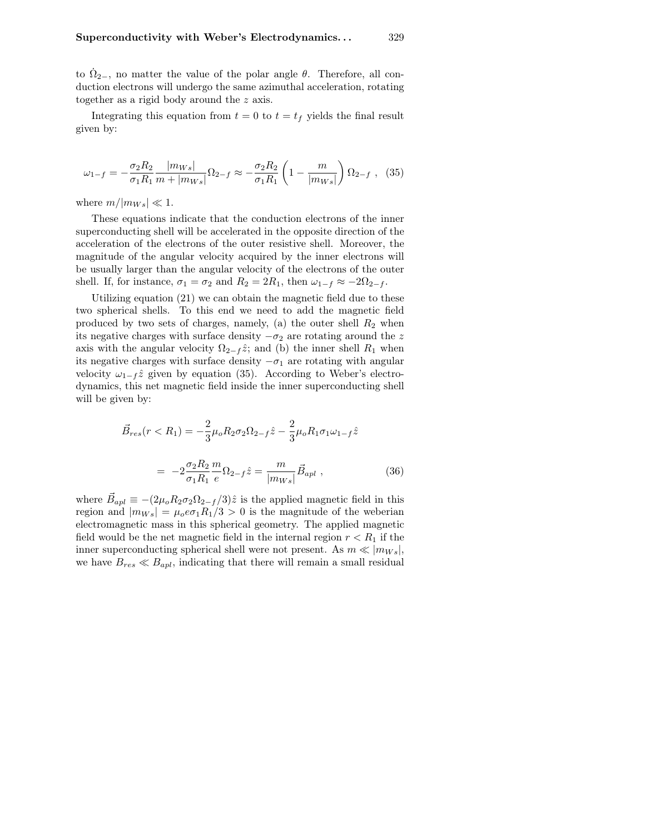to  $\dot{\Omega}_{2-}$ , no matter the value of the polar angle  $\theta$ . Therefore, all conduction electrons will undergo the same azimuthal acceleration, rotating together as a rigid body around the z axis.

Integrating this equation from  $t = 0$  to  $t = t_f$  yields the final result given by:

$$
\omega_{1-f} = -\frac{\sigma_2 R_2}{\sigma_1 R_1} \frac{|m_{Ws}|}{m + |m_{Ws}|} \Omega_{2-f} \approx -\frac{\sigma_2 R_2}{\sigma_1 R_1} \left(1 - \frac{m}{|m_{Ws}|}\right) \Omega_{2-f} , \quad (35)
$$

where  $m/|m_{Ws}| \ll 1$ .

These equations indicate that the conduction electrons of the inner superconducting shell will be accelerated in the opposite direction of the acceleration of the electrons of the outer resistive shell. Moreover, the magnitude of the angular velocity acquired by the inner electrons will be usually larger than the angular velocity of the electrons of the outer shell. If, for instance,  $\sigma_1 = \sigma_2$  and  $R_2 = 2R_1$ , then  $\omega_{1-f} \approx -2\Omega_{2-f}$ .

Utilizing equation (21) we can obtain the magnetic field due to these two spherical shells. To this end we need to add the magnetic field produced by two sets of charges, namely, (a) the outer shell  $R_2$  when its negative charges with surface density  $-\sigma_2$  are rotating around the z axis with the angular velocity  $\Omega_{2-f} \hat{z}$ ; and (b) the inner shell  $R_1$  when its negative charges with surface density  $-\sigma_1$  are rotating with angular velocity  $\omega_{1-f} \hat{z}$  given by equation (35). According to Weber's electrodynamics, this net magnetic field inside the inner superconducting shell will be given by:

$$
\vec{B}_{res}(r < R_1) = -\frac{2}{3}\mu_o R_2 \sigma_2 \Omega_{2-f} \hat{z} - \frac{2}{3}\mu_o R_1 \sigma_1 \omega_{1-f} \hat{z}
$$

$$
= -2\frac{\sigma_2 R_2}{\sigma_1 R_1} \frac{m}{e} \Omega_{2-f} \hat{z} = \frac{m}{|m_{Ws}|} \vec{B}_{apl} , \qquad (36)
$$

where  $\vec{B}_{apl} \equiv -(2\mu_o R_2 \sigma_2 \Omega_{2-f}/3)\hat{z}$  is the applied magnetic field in this region and  $|m_{Ws}| = \mu_o e \sigma_1 R_1/3 > 0$  is the magnitude of the weberian electromagnetic mass in this spherical geometry. The applied magnetic field would be the net magnetic field in the internal region  $r < R_1$  if the inner superconducting spherical shell were not present. As  $m \ll |m_{Ws}|$ , we have  $B_{res} \ll B_{apl}$ , indicating that there will remain a small residual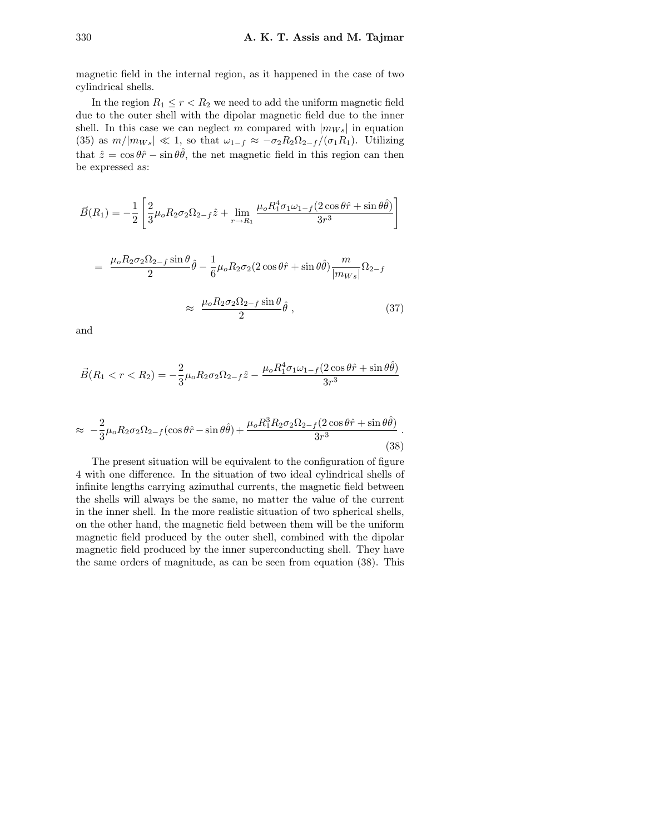magnetic field in the internal region, as it happened in the case of two cylindrical shells.

In the region  $R_1 \le r < R_2$  we need to add the uniform magnetic field due to the outer shell with the dipolar magnetic field due to the inner shell. In this case we can neglect m compared with  $|m_{Ws}|$  in equation (35) as  $m/|m_{Ws}| \ll 1$ , so that  $\omega_{1-f} \approx -\sigma_2 R_2 \Omega_{2-f}/(\sigma_1 R_1)$ . Utilizing that  $\hat{z} = \cos \theta \hat{r} - \sin \theta \hat{\theta}$ , the net magnetic field in this region can then be expressed as:

$$
\vec{B}(R_1) = -\frac{1}{2} \left[ \frac{2}{3} \mu_o R_2 \sigma_2 \Omega_{2-f} \hat{z} + \lim_{r \to R_1} \frac{\mu_o R_1^4 \sigma_1 \omega_{1-f} (2 \cos \theta \hat{r} + \sin \theta \hat{\theta})}{3r^3} \right]
$$

$$
= \frac{\mu_o R_2 \sigma_2 \Omega_{2-f} \sin \theta}{2} \hat{\theta} - \frac{1}{6} \mu_o R_2 \sigma_2 (2 \cos \theta \hat{r} + \sin \theta \hat{\theta}) \frac{m}{|m_{Ws}|} \Omega_{2-f}
$$

$$
\approx \frac{\mu_o R_2 \sigma_2 \Omega_{2-f} \sin \theta}{2} \hat{\theta} \,, \tag{37}
$$

and

$$
\vec{B}(R_1 < r < R_2) = -\frac{2}{3}\mu_o R_2 \sigma_2 \Omega_{2-f} \hat{z} - \frac{\mu_o R_1^4 \sigma_1 \omega_{1-f} (2\cos\theta \hat{r} + \sin\theta \hat{\theta})}{3r^3}
$$

$$
\approx -\frac{2}{3}\mu_o R_2 \sigma_2 \Omega_{2-f} (\cos\theta \hat{r} - \sin\theta \hat{\theta}) + \frac{\mu_o R_1^3 R_2 \sigma_2 \Omega_{2-f} (2\cos\theta \hat{r} + \sin\theta \hat{\theta})}{3r^3}.
$$
\n(38)

The present situation will be equivalent to the configuration of figure 4 with one difference. In the situation of two ideal cylindrical shells of infinite lengths carrying azimuthal currents, the magnetic field between the shells will always be the same, no matter the value of the current in the inner shell. In the more realistic situation of two spherical shells, on the other hand, the magnetic field between them will be the uniform magnetic field produced by the outer shell, combined with the dipolar magnetic field produced by the inner superconducting shell. They have the same orders of magnitude, as can be seen from equation (38). This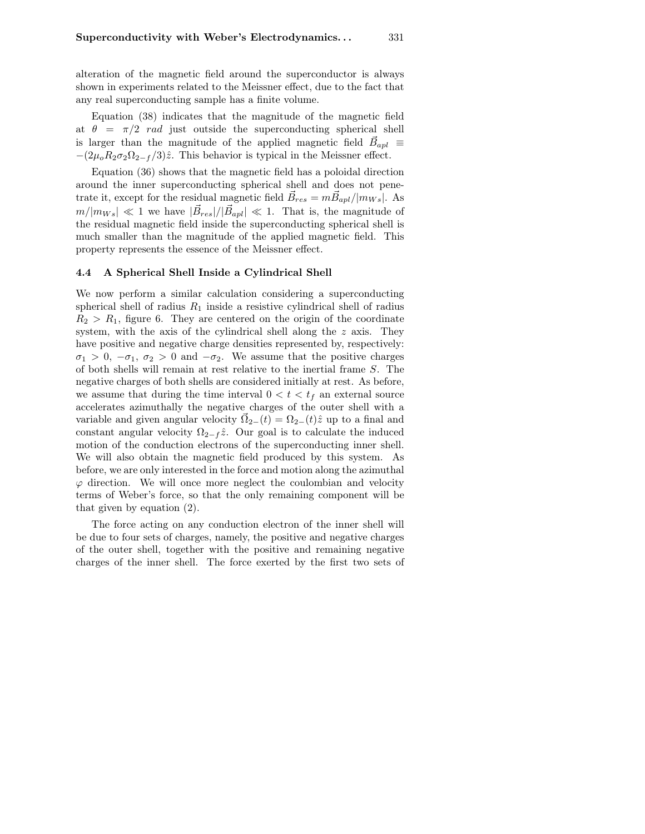alteration of the magnetic field around the superconductor is always shown in experiments related to the Meissner effect, due to the fact that any real superconducting sample has a finite volume.

Equation (38) indicates that the magnitude of the magnetic field at  $\theta = \pi/2$  rad just outside the superconducting spherical shell is larger than the magnitude of the applied magnetic field  $\vec{B}_{apl}$   $\equiv$  $-(2\mu_oR_2\sigma_2\Omega_{2-f}/3)\hat{z}$ . This behavior is typical in the Meissner effect.

Equation (36) shows that the magnetic field has a poloidal direction around the inner superconducting spherical shell and does not penetrate it, except for the residual magnetic field  $\vec{B}_{res} = m \vec{B}_{apl} / |m_{Ws}|$ . As  $m/|m_{Ws}| \ll 1$  we have  $|\vec{B}_{res}|/|\vec{B}_{apl}| \ll 1$ . That is, the magnitude of the residual magnetic field inside the superconducting spherical shell is much smaller than the magnitude of the applied magnetic field. This property represents the essence of the Meissner effect.

#### 4.4 A Spherical Shell Inside a Cylindrical Shell

We now perform a similar calculation considering a superconducting spherical shell of radius  $R_1$  inside a resistive cylindrical shell of radius  $R_2 > R_1$ , figure 6. They are centered on the origin of the coordinate system, with the axis of the cylindrical shell along the z axis. They have positive and negative charge densities represented by, respectively:  $\sigma_1 > 0$ ,  $-\sigma_1$ ,  $\sigma_2 > 0$  and  $-\sigma_2$ . We assume that the positive charges of both shells will remain at rest relative to the inertial frame S. The negative charges of both shells are considered initially at rest. As before, we assume that during the time interval  $0 < t < t_f$  an external source accelerates azimuthally the negative charges of the outer shell with a variable and given angular velocity  $\vec{\Omega}_{2-}(t) = \Omega_{2-}(t)\hat{z}$  up to a final and constant angular velocity  $\Omega_{2-f} \hat{z}$ . Our goal is to calculate the induced motion of the conduction electrons of the superconducting inner shell. We will also obtain the magnetic field produced by this system. As before, we are only interested in the force and motion along the azimuthal  $\varphi$  direction. We will once more neglect the coulombian and velocity terms of Weber's force, so that the only remaining component will be that given by equation (2).

The force acting on any conduction electron of the inner shell will be due to four sets of charges, namely, the positive and negative charges of the outer shell, together with the positive and remaining negative charges of the inner shell. The force exerted by the first two sets of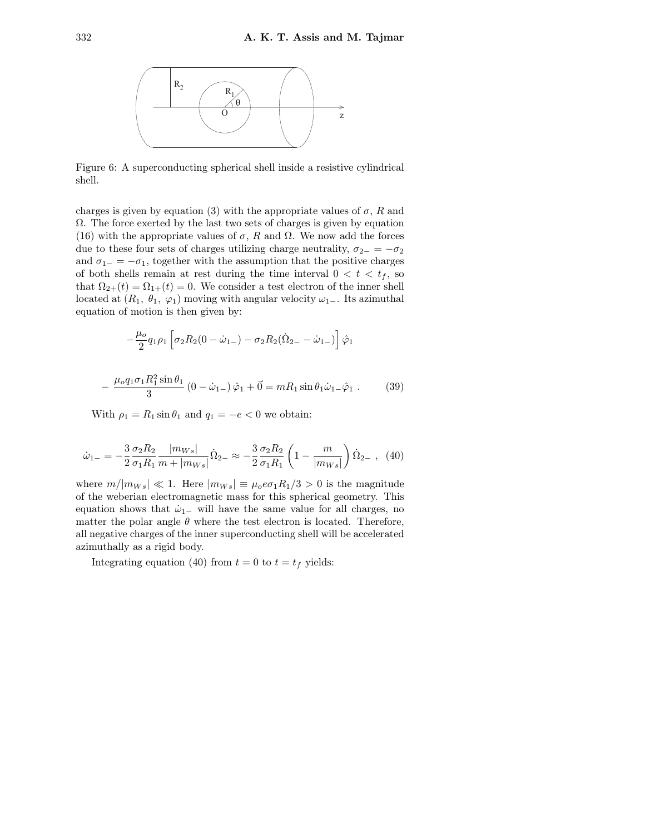

Figure 6: A superconducting spherical shell inside a resistive cylindrical shell.

charges is given by equation (3) with the appropriate values of  $\sigma$ , R and  $\Omega$ . The force exerted by the last two sets of charges is given by equation (16) with the appropriate values of  $\sigma$ , R and  $\Omega$ . We now add the forces due to these four sets of charges utilizing charge neutrality,  $\sigma_{2-} = -\sigma_2$ and  $\sigma_{1-} = -\sigma_1$ , together with the assumption that the positive charges of both shells remain at rest during the time interval  $0 < t < t_f$ , so that  $\Omega_{2+}(t) = \Omega_{1+}(t) = 0$ . We consider a test electron of the inner shell located at  $(R_1, \theta_1, \varphi_1)$  moving with angular velocity  $\omega_1$ <sub>−</sub>. Its azimuthal equation of motion is then given by:

$$
-\frac{\mu_o}{2}q_1\rho_1 \left[\sigma_2 R_2 (0-\dot{\omega}_{1-})-\sigma_2 R_2 (\dot{\Omega}_{2-}-\dot{\omega}_{1-})\right]\hat{\varphi}_1
$$

$$
-\frac{\mu_o q_1 \sigma_1 R_1^2 \sin \theta_1}{3} (0 - \dot{\omega}_{1-}) \hat{\varphi}_1 + \vec{0} = mR_1 \sin \theta_1 \dot{\omega}_{1-} \hat{\varphi}_1. \tag{39}
$$

With  $\rho_1 = R_1 \sin \theta_1$  and  $q_1 = -e < 0$  we obtain:

$$
\dot{\omega}_{1-} = -\frac{3}{2} \frac{\sigma_2 R_2}{\sigma_1 R_1} \frac{|m_{Ws}|}{m + |m_{Ws}|} \dot{\Omega}_{2-} \approx -\frac{3}{2} \frac{\sigma_2 R_2}{\sigma_1 R_1} \left( 1 - \frac{m}{|m_{Ws}|} \right) \dot{\Omega}_{2-} , \tag{40}
$$

where  $m/|m_{Ws}| \ll 1$ . Here  $|m_{Ws}| \equiv \mu_0 e \sigma_1 R_1/3 > 0$  is the magnitude of the weberian electromagnetic mass for this spherical geometry. This equation shows that  $\dot{\omega}_{1-}$  will have the same value for all charges, no matter the polar angle  $\theta$  where the test electron is located. Therefore, all negative charges of the inner superconducting shell will be accelerated azimuthally as a rigid body.

Integrating equation (40) from  $t = 0$  to  $t = t_f$  yields: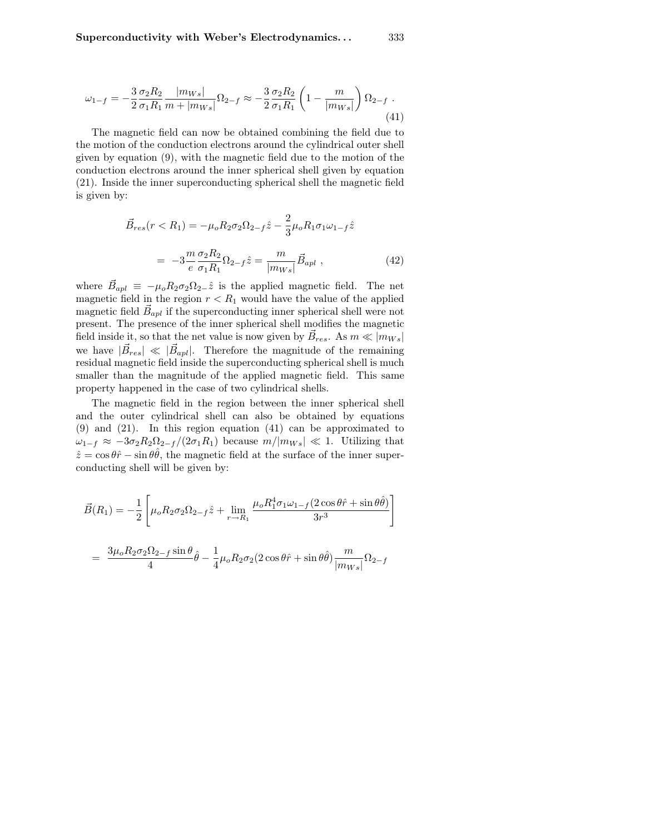$$
\omega_{1-f} = -\frac{3}{2} \frac{\sigma_2 R_2}{\sigma_1 R_1} \frac{|m_{Ws}|}{m + |m_{Ws}|} \Omega_{2-f} \approx -\frac{3}{2} \frac{\sigma_2 R_2}{\sigma_1 R_1} \left(1 - \frac{m}{|m_{Ws}|}\right) \Omega_{2-f} \tag{41}
$$

The magnetic field can now be obtained combining the field due to the motion of the conduction electrons around the cylindrical outer shell given by equation (9), with the magnetic field due to the motion of the conduction electrons around the inner spherical shell given by equation (21). Inside the inner superconducting spherical shell the magnetic field is given by:

$$
\vec{B}_{res}(r < R_1) = -\mu_o R_2 \sigma_2 \Omega_{2-f} \hat{z} - \frac{2}{3} \mu_o R_1 \sigma_1 \omega_{1-f} \hat{z}
$$

$$
= -3 \frac{m}{e} \frac{\sigma_2 R_2}{\sigma_1 R_1} \Omega_{2-f} \hat{z} = \frac{m}{|m_{Ws}|} \vec{B}_{apl} , \qquad (42)
$$

where  $\vec{B}_{apl} \equiv -\mu_0 R_2 \sigma_2 \Omega_{2-} \hat{z}$  is the applied magnetic field. The net magnetic field in the region  $r < R_1$  would have the value of the applied magnetic field  $\vec{B}_{apl}$  if the superconducting inner spherical shell were not present. The presence of the inner spherical shell modifies the magnetic field inside it, so that the net value is now given by  $\vec{B}_{res}$ . As  $m \ll |m_{Ws}|$ we have  $|\vec{B}_{res}| \ll |\vec{B}_{apl}|$ . Therefore the magnitude of the remaining residual magnetic field inside the superconducting spherical shell is much smaller than the magnitude of the applied magnetic field. This same property happened in the case of two cylindrical shells.

The magnetic field in the region between the inner spherical shell and the outer cylindrical shell can also be obtained by equations (9) and (21). In this region equation (41) can be approximated to  $\omega_{1-f} \approx -3\sigma_2 R_2 \Omega_{2-f} / (2\sigma_1 R_1)$  because  $m/|m_{Ws}| \ll 1$ . Utilizing that  $\hat{z} = \cos \theta \hat{r} - \sin \theta \hat{\theta}$ , the magnetic field at the surface of the inner superconducting shell will be given by:

$$
\vec{B}(R_1) = -\frac{1}{2} \left[ \mu_o R_2 \sigma_2 \Omega_{2-f} \hat{z} + \lim_{r \to R_1} \frac{\mu_o R_1^4 \sigma_1 \omega_{1-f} (2 \cos \theta \hat{r} + \sin \theta \hat{\theta})}{3r^3} \right]
$$

$$
= \frac{3\mu_o R_2 \sigma_2 \Omega_{2-f} \sin \theta}{4} \hat{\theta} - \frac{1}{4} \mu_o R_2 \sigma_2 (2 \cos \theta \hat{r} + \sin \theta \hat{\theta}) \frac{m}{|m_{Ws}|} \Omega_{2-f}
$$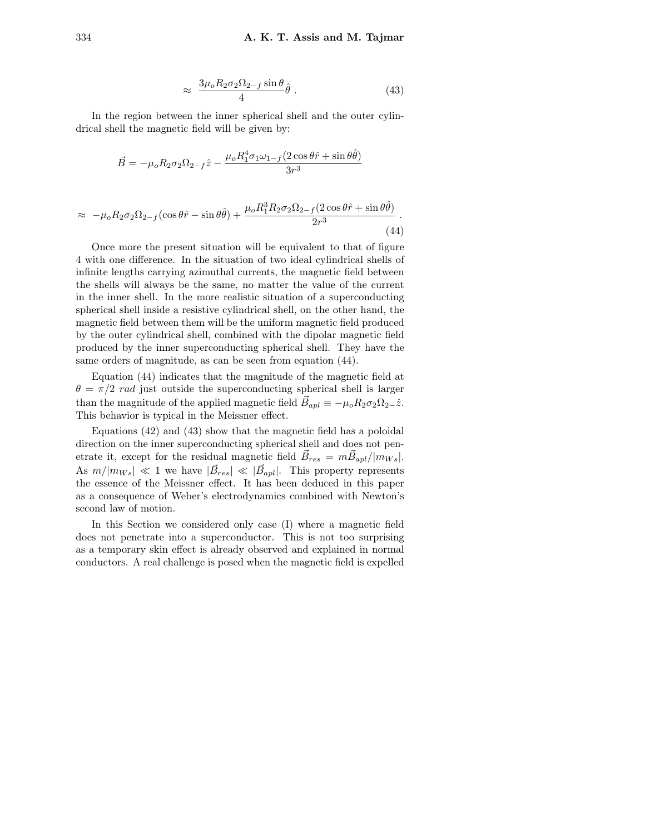$$
\approx \frac{3\mu_o R_2 \sigma_2 \Omega_{2-f} \sin \theta}{4} \hat{\theta} \,. \tag{43}
$$

In the region between the inner spherical shell and the outer cylindrical shell the magnetic field will be given by:

$$
\vec{B} = -\mu_o R_2 \sigma_2 \Omega_{2-f} \hat{z} - \frac{\mu_o R_1^4 \sigma_1 \omega_{1-f} (2 \cos \theta \hat{r} + \sin \theta \hat{\theta})}{3r^3}
$$

$$
\approx -\mu_o R_2 \sigma_2 \Omega_{2-f} (\cos \theta \hat{r} - \sin \theta \hat{\theta}) + \frac{\mu_o R_1^3 R_2 \sigma_2 \Omega_{2-f} (2 \cos \theta \hat{r} + \sin \theta \hat{\theta})}{2r^3}.
$$
\n(44)

Once more the present situation will be equivalent to that of figure 4 with one difference. In the situation of two ideal cylindrical shells of infinite lengths carrying azimuthal currents, the magnetic field between the shells will always be the same, no matter the value of the current in the inner shell. In the more realistic situation of a superconducting spherical shell inside a resistive cylindrical shell, on the other hand, the magnetic field between them will be the uniform magnetic field produced by the outer cylindrical shell, combined with the dipolar magnetic field produced by the inner superconducting spherical shell. They have the same orders of magnitude, as can be seen from equation (44).

Equation (44) indicates that the magnitude of the magnetic field at  $\theta = \pi/2$  rad just outside the superconducting spherical shell is larger than the magnitude of the applied magnetic field  $\vec{B}_{apl} \equiv -\mu_o R_2 \sigma_2 \Omega_{2-} \hat{z}$ . This behavior is typical in the Meissner effect.

Equations (42) and (43) show that the magnetic field has a poloidal direction on the inner superconducting spherical shell and does not penetrate it, except for the residual magnetic field  $\vec{B}_{res} = m \vec{B}_{apl} / |m_{Ws}|$ . As  $m/|m_{Ws}| \ll 1$  we have  $|\vec{B}_{res}| \ll |\vec{B}_{apl}|$ . This property represents the essence of the Meissner effect. It has been deduced in this paper as a consequence of Weber's electrodynamics combined with Newton's second law of motion.

In this Section we considered only case (I) where a magnetic field does not penetrate into a superconductor. This is not too surprising as a temporary skin effect is already observed and explained in normal conductors. A real challenge is posed when the magnetic field is expelled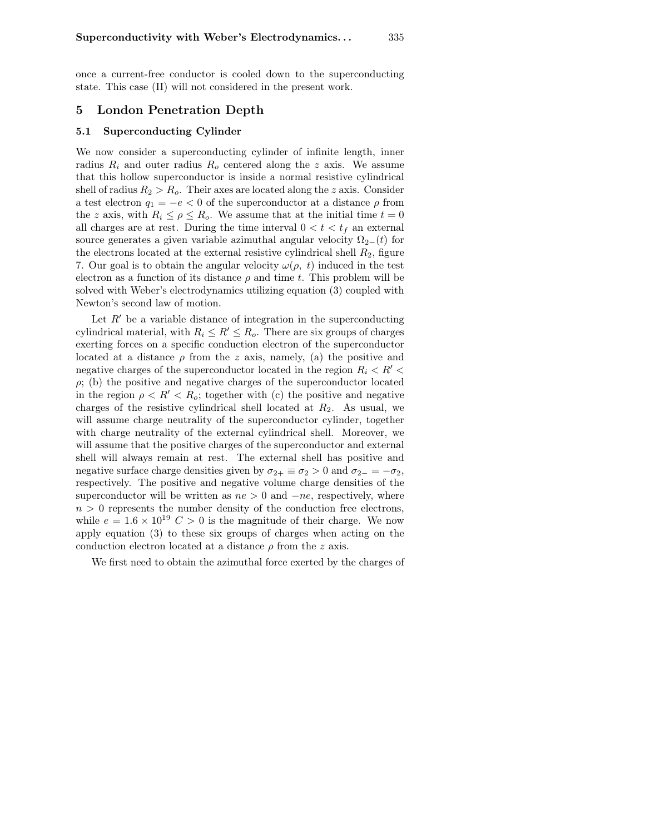once a current-free conductor is cooled down to the superconducting state. This case (II) will not considered in the present work.

## 5 London Penetration Depth

## 5.1 Superconducting Cylinder

We now consider a superconducting cylinder of infinite length, inner radius  $R_i$  and outer radius  $R_o$  centered along the z axis. We assume that this hollow superconductor is inside a normal resistive cylindrical shell of radius  $R_2 > R_o$ . Their axes are located along the z axis. Consider a test electron  $q_1 = -e < 0$  of the superconductor at a distance  $\rho$  from the z axis, with  $R_i \leq \rho \leq R_o$ . We assume that at the initial time  $t = 0$ all charges are at rest. During the time interval  $0 < t < t<sub>f</sub>$  an external source generates a given variable azimuthal angular velocity  $\Omega_{2-}(t)$  for the electrons located at the external resistive cylindrical shell  $R_2$ , figure 7. Our goal is to obtain the angular velocity  $\omega(\rho, t)$  induced in the test electron as a function of its distance  $\rho$  and time t. This problem will be solved with Weber's electrodynamics utilizing equation (3) coupled with Newton's second law of motion.

Let  $R'$  be a variable distance of integration in the superconducting cylindrical material, with  $R_i \leq R' \leq R_o$ . There are six groups of charges exerting forces on a specific conduction electron of the superconductor located at a distance  $\rho$  from the z axis, namely, (a) the positive and negative charges of the superconductor located in the region  $R_i < R' <$  $\rho$ ; (b) the positive and negative charges of the superconductor located in the region  $\rho < R' < R_o$ ; together with (c) the positive and negative charges of the resistive cylindrical shell located at  $R_2$ . As usual, we will assume charge neutrality of the superconductor cylinder, together with charge neutrality of the external cylindrical shell. Moreover, we will assume that the positive charges of the superconductor and external shell will always remain at rest. The external shell has positive and negative surface charge densities given by  $\sigma_{2+} \equiv \sigma_2 > 0$  and  $\sigma_{2-} = -\sigma_2$ , respectively. The positive and negative volume charge densities of the superconductor will be written as  $ne > 0$  and  $-ne$ , respectively, where  $n > 0$  represents the number density of the conduction free electrons, while  $e = 1.6 \times 10^{19}$  C > 0 is the magnitude of their charge. We now apply equation (3) to these six groups of charges when acting on the conduction electron located at a distance  $\rho$  from the z axis.

We first need to obtain the azimuthal force exerted by the charges of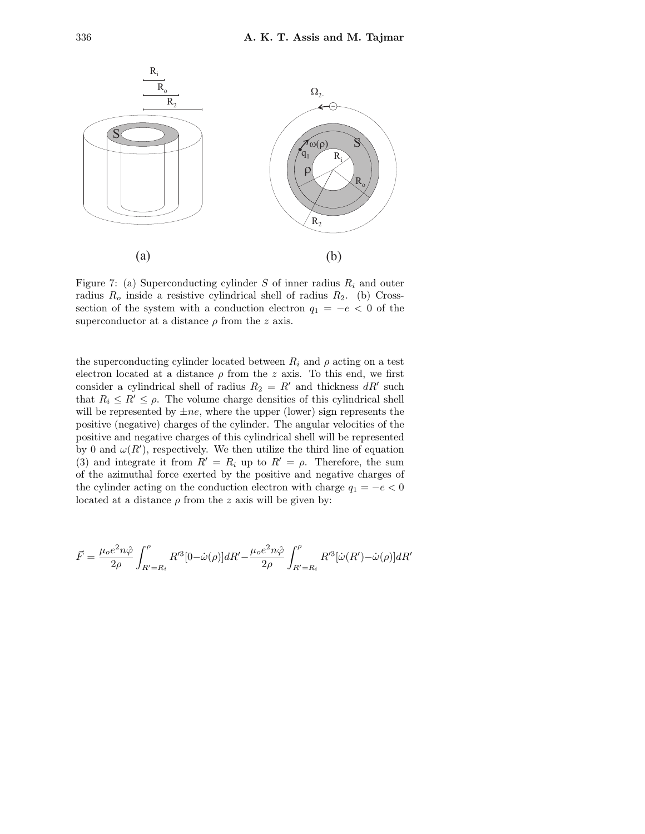

Figure 7: (a) Superconducting cylinder S of inner radius  $R_i$  and outer radius  $R_o$  inside a resistive cylindrical shell of radius  $R_2$ . (b) Crosssection of the system with a conduction electron  $q_1 = -e < 0$  of the superconductor at a distance  $\rho$  from the z axis.

the superconducting cylinder located between  $R_i$  and  $\rho$  acting on a test electron located at a distance  $\rho$  from the z axis. To this end, we first consider a cylindrical shell of radius  $R_2 = R'$  and thickness  $dR'$  such that  $R_i \leq R' \leq \rho$ . The volume charge densities of this cylindrical shell will be represented by  $\pm ne$ , where the upper (lower) sign represents the positive (negative) charges of the cylinder. The angular velocities of the positive and negative charges of this cylindrical shell will be represented by 0 and  $\omega(R')$ , respectively. We then utilize the third line of equation (3) and integrate it from  $R' = R_i$  up to  $R' = \rho$ . Therefore, the sum of the azimuthal force exerted by the positive and negative charges of the cylinder acting on the conduction electron with charge  $q_1 = -e < 0$ located at a distance  $\rho$  from the z axis will be given by:

$$
\vec{F} = \frac{\mu_0 e^2 n \hat{\varphi}}{2\rho} \int_{R' = R_i}^{\rho} R'^3 [0 - \dot{\omega}(\rho)] dR' - \frac{\mu_0 e^2 n \hat{\varphi}}{2\rho} \int_{R' = R_i}^{\rho} R'^3 [\dot{\omega}(R') - \dot{\omega}(\rho)] dR'
$$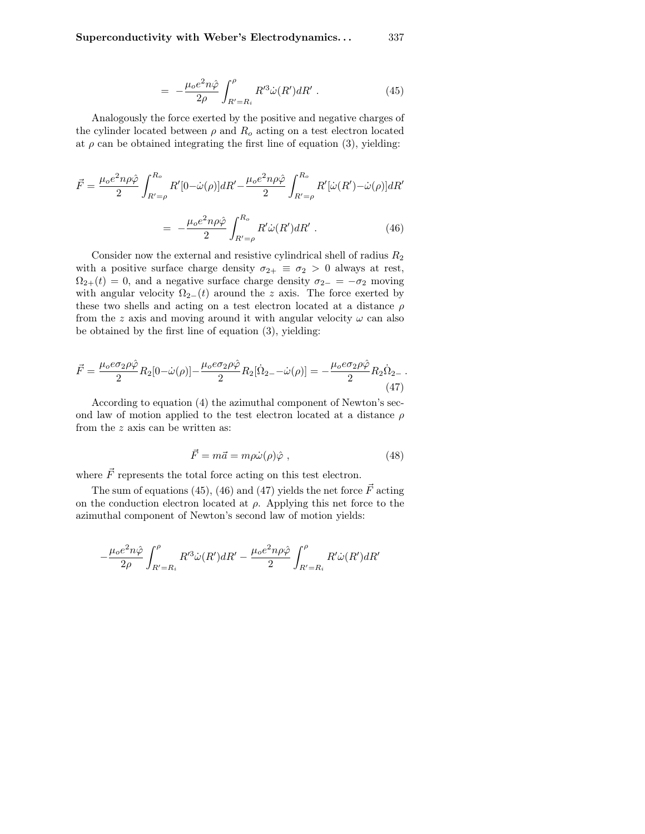$$
= -\frac{\mu_o e^2 n \hat{\varphi}}{2\rho} \int_{R'=R_i}^{\rho} R'^3 \dot{\omega}(R') dR' . \qquad (45)
$$

Analogously the force exerted by the positive and negative charges of the cylinder located between  $\rho$  and  $R_o$  acting on a test electron located at  $\rho$  can be obtained integrating the first line of equation (3), yielding:

$$
\vec{F} = \frac{\mu_o e^2 n \rho \hat{\varphi}}{2} \int_{R'=\rho}^{R_o} R'[0-\dot{\omega}(\rho)]dR' - \frac{\mu_o e^2 n \rho \hat{\varphi}}{2} \int_{R'=\rho}^{R_o} R'[\dot{\omega}(R')-\dot{\omega}(\rho)]dR'
$$

$$
= -\frac{\mu_o e^2 n \rho \hat{\varphi}}{2} \int_{R'=\rho}^{R_o} R'\dot{\omega}(R')dR' . \tag{46}
$$

Consider now the external and resistive cylindrical shell of radius  $R_2$ with a positive surface charge density  $\sigma_{2+} \equiv \sigma_2 > 0$  always at rest,  $\Omega_{2+}(t) = 0$ , and a negative surface charge density  $\sigma_{2-} = -\sigma_2$  moving with angular velocity  $\Omega_{2-}(t)$  around the z axis. The force exerted by these two shells and acting on a test electron located at a distance  $\rho$ from the z axis and moving around it with angular velocity  $\omega$  can also be obtained by the first line of equation (3), yielding:

$$
\vec{F} = \frac{\mu_o e \sigma_2 \rho \hat{\varphi}}{2} R_2 [0 - \dot{\omega}(\rho)] - \frac{\mu_o e \sigma_2 \rho \hat{\varphi}}{2} R_2 [\dot{\Omega}_{2-} - \dot{\omega}(\rho)] = -\frac{\mu_o e \sigma_2 \rho \hat{\varphi}}{2} R_2 \dot{\Omega}_{2-} \tag{47}
$$

According to equation (4) the azimuthal component of Newton's second law of motion applied to the test electron located at a distance  $\rho$ from the z axis can be written as:

$$
\vec{F} = m\vec{a} = m\rho\dot{\omega}(\rho)\hat{\varphi} \;, \tag{48}
$$

where  $\vec{F}$  represents the total force acting on this test electron.

The sum of equations (45), (46) and (47) yields the net force  $\vec{F}$  acting on the conduction electron located at  $\rho$ . Applying this net force to the azimuthal component of Newton's second law of motion yields:

$$
-\frac{\mu_oe^2n\hat{\varphi}}{2\rho}\int_{R'=R_i}^{\rho}R'^3\dot{\omega}(R')dR'-\frac{\mu_oe^2n\rho\hat{\varphi}}{2}\int_{R'=R_i}^{\rho}R'\dot{\omega}(R')dR'
$$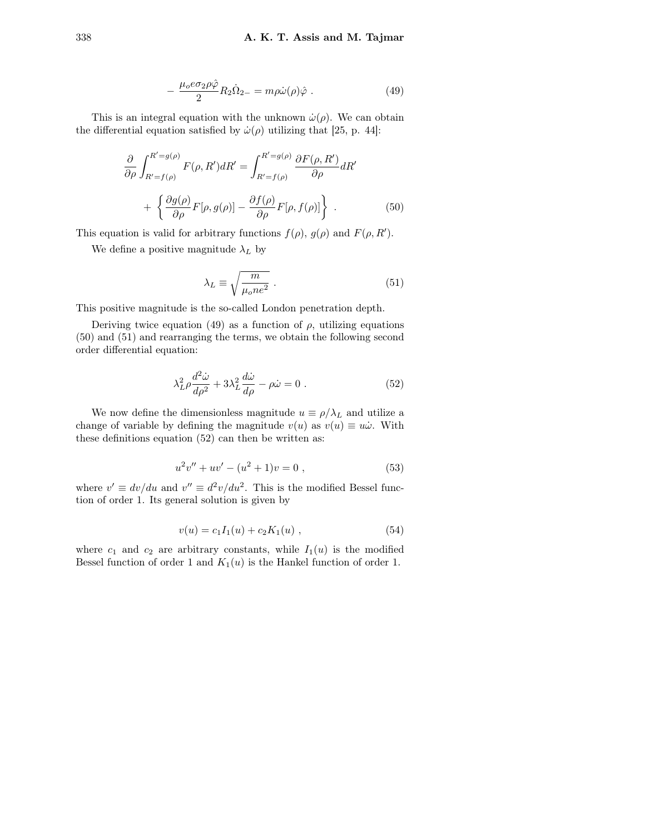$$
-\frac{\mu_o e \sigma_2 \rho \hat{\varphi}}{2} R_2 \dot{\Omega}_{2-} = m \rho \dot{\omega}(\rho) \hat{\varphi} . \qquad (49)
$$

This is an integral equation with the unknown  $\dot{\omega}(\rho)$ . We can obtain the differential equation satisfied by  $\dot{\omega}(\rho)$  utilizing that [25, p. 44]:

$$
\frac{\partial}{\partial \rho} \int_{R'=f(\rho)}^{R'=g(\rho)} F(\rho, R') dR' = \int_{R'=f(\rho)}^{R'=g(\rho)} \frac{\partial F(\rho, R')}{\partial \rho} dR'
$$

$$
+ \left\{ \frac{\partial g(\rho)}{\partial \rho} F[\rho, g(\rho)] - \frac{\partial f(\rho)}{\partial \rho} F[\rho, f(\rho)] \right\} . \tag{50}
$$

This equation is valid for arbitrary functions  $f(\rho)$ ,  $g(\rho)$  and  $F(\rho, R')$ .

We define a positive magnitude  $\lambda_L$  by

$$
\lambda_L \equiv \sqrt{\frac{m}{\mu_o n e^2}} \,. \tag{51}
$$

This positive magnitude is the so-called London penetration depth.

Deriving twice equation (49) as a function of  $\rho$ , utilizing equations (50) and (51) and rearranging the terms, we obtain the following second order differential equation:

$$
\lambda_L^2 \rho \frac{d^2 \dot{\omega}}{d\rho^2} + 3\lambda_L^2 \frac{d\dot{\omega}}{d\rho} - \rho \dot{\omega} = 0.
$$
 (52)

We now define the dimensionless magnitude  $u \equiv \rho/\lambda_L$  and utilize a change of variable by defining the magnitude  $v(u)$  as  $v(u) \equiv u\dot{\omega}$ . With these definitions equation (52) can then be written as:

$$
u2v'' + uv' - (u2 + 1)v = 0,
$$
\n(53)

where  $v' \equiv dv/du$  and  $v'' \equiv d^2v/du^2$ . This is the modified Bessel function of order 1. Its general solution is given by

$$
v(u) = c_1 I_1(u) + c_2 K_1(u) , \qquad (54)
$$

where  $c_1$  and  $c_2$  are arbitrary constants, while  $I_1(u)$  is the modified Bessel function of order 1 and  $K_1(u)$  is the Hankel function of order 1.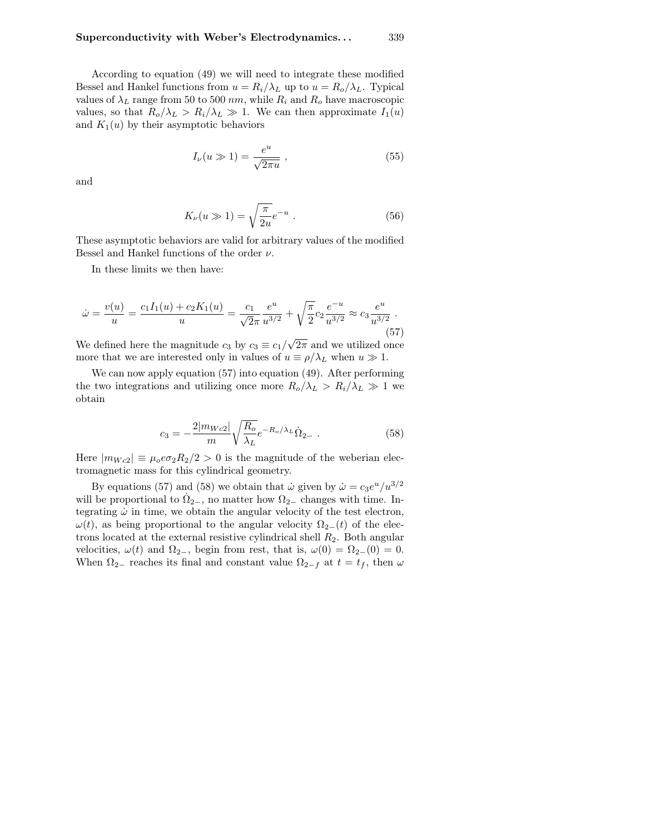According to equation (49) we will need to integrate these modified Bessel and Hankel functions from  $u = R_i/\lambda_L$  up to  $u = R_o/\lambda_L$ . Typical values of  $\lambda_L$  range from 50 to 500 nm, while  $R_i$  and  $R_o$  have macroscopic values, so that  $R_o/\lambda_L > R_i/\lambda_L \gg 1$ . We can then approximate  $I_1(u)$ and  $K_1(u)$  by their asymptotic behaviors

$$
I_{\nu}(u \gg 1) = \frac{e^u}{\sqrt{2\pi u}} \tag{55}
$$

and

$$
K_{\nu}(u \gg 1) = \sqrt{\frac{\pi}{2u}} e^{-u} . \qquad (56)
$$

These asymptotic behaviors are valid for arbitrary values of the modified Bessel and Hankel functions of the order  $\nu$ .

In these limits we then have:

$$
\dot{\omega} = \frac{v(u)}{u} = \frac{c_1 I_1(u) + c_2 K_1(u)}{u} = \frac{c_1}{\sqrt{2}\pi} \frac{e^u}{u^{3/2}} + \sqrt{\frac{\pi}{2}} c_2 \frac{e^{-u}}{u^{3/2}} \approx c_3 \frac{e^u}{u^{3/2}}.
$$
\n(57)

We defined here the magnitude  $c_3$  by  $c_3 \equiv c_1/$  $2\pi$  and we utilized once more that we are interested only in values of  $u \equiv \rho/\lambda_L$  when  $u \gg 1$ .

We can now apply equation (57) into equation (49). After performing the two integrations and utilizing once more  $R_o/\lambda_L > R_i/\lambda_L \gg 1$  we obtain

$$
c_3 = -\frac{2|m_{Wc2}|}{m}\sqrt{\frac{R_o}{\lambda_L}}e^{-R_o/\lambda_L}\dot{\Omega}_{2-} \ . \tag{58}
$$

Here  $|m_{Wc2}| \equiv \mu_o e \sigma_2 R_2/2 > 0$  is the magnitude of the weberian electromagnetic mass for this cylindrical geometry.

By equations (57) and (58) we obtain that  $\dot{\omega}$  given by  $\dot{\omega} = c_3 e^u / u^{3/2}$ will be proportional to  $\dot{\Omega}_{2-}$ , no matter how  $\Omega_{2-}$  changes with time. Integrating  $\dot{\omega}$  in time, we obtain the angular velocity of the test electron,  $\omega(t)$ , as being proportional to the angular velocity  $\Omega_{2-}(t)$  of the electrons located at the external resistive cylindrical shell  $R_2$ . Both angular velocities,  $\omega(t)$  and  $\Omega_{2-}$ , begin from rest, that is,  $\omega(0) = \Omega_{2-}(0) = 0$ . When  $\Omega_{2-}$  reaches its final and constant value  $\Omega_{2-}$  at  $t = t_f$ , then  $\omega$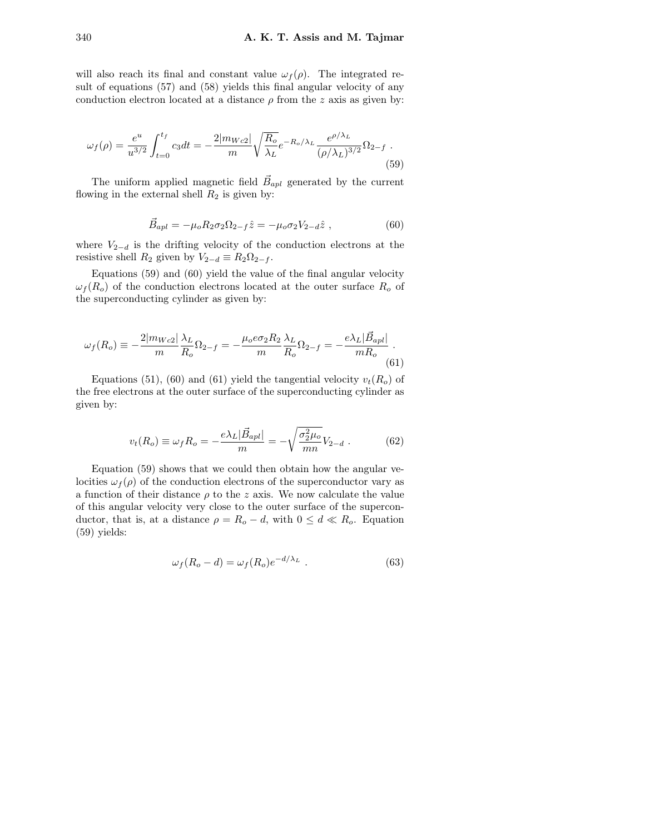will also reach its final and constant value  $\omega_f(\rho)$ . The integrated result of equations (57) and (58) yields this final angular velocity of any conduction electron located at a distance  $\rho$  from the z axis as given by:

$$
\omega_f(\rho) = \frac{e^u}{u^{3/2}} \int_{t=0}^{t_f} c_3 dt = -\frac{2|m_{Wc2}|}{m} \sqrt{\frac{R_o}{\lambda_L}} e^{-R_o/\lambda_L} \frac{e^{\rho/\lambda_L}}{(\rho/\lambda_L)^{3/2}} \Omega_{2-f} .
$$
\n(59)

The uniform applied magnetic field  $\vec{B}_{apl}$  generated by the current flowing in the external shell  $R_2$  is given by:

$$
\vec{B}_{apl} = -\mu_o R_2 \sigma_2 \Omega_{2-f} \hat{z} = -\mu_o \sigma_2 V_{2-d} \hat{z} , \qquad (60)
$$

where  $V_{2-d}$  is the drifting velocity of the conduction electrons at the resistive shell  $R_2$  given by  $V_{2-d} \equiv R_2 \Omega_{2-f}$ .

Equations (59) and (60) yield the value of the final angular velocity  $\omega_f(R_o)$  of the conduction electrons located at the outer surface  $R_o$  of the superconducting cylinder as given by:

$$
\omega_f(R_o) \equiv -\frac{2|m_{Wc2}|}{m} \frac{\lambda_L}{R_o} \Omega_{2-f} = -\frac{\mu_o e \sigma_2 R_2}{m} \frac{\lambda_L}{R_o} \Omega_{2-f} = -\frac{e \lambda_L |\vec{B}_{apl}|}{m R_o}.
$$
\n(61)

Equations (51), (60) and (61) yield the tangential velocity  $v_t(R_o)$  of the free electrons at the outer surface of the superconducting cylinder as given by:

$$
v_t(R_o) \equiv \omega_f R_o = -\frac{e\lambda_L|\vec{B}_{apl}|}{m} = -\sqrt{\frac{\sigma_2^2\mu_o}{mn}}V_{2-d} . \tag{62}
$$

Equation (59) shows that we could then obtain how the angular velocities  $\omega_f(\rho)$  of the conduction electrons of the superconductor vary as a function of their distance  $\rho$  to the z axis. We now calculate the value of this angular velocity very close to the outer surface of the superconductor, that is, at a distance  $\rho = R_o - d$ , with  $0 \le d \ll R_o$ . Equation (59) yields:

$$
\omega_f(R_o - d) = \omega_f(R_o)e^{-d/\lambda_L} \tag{63}
$$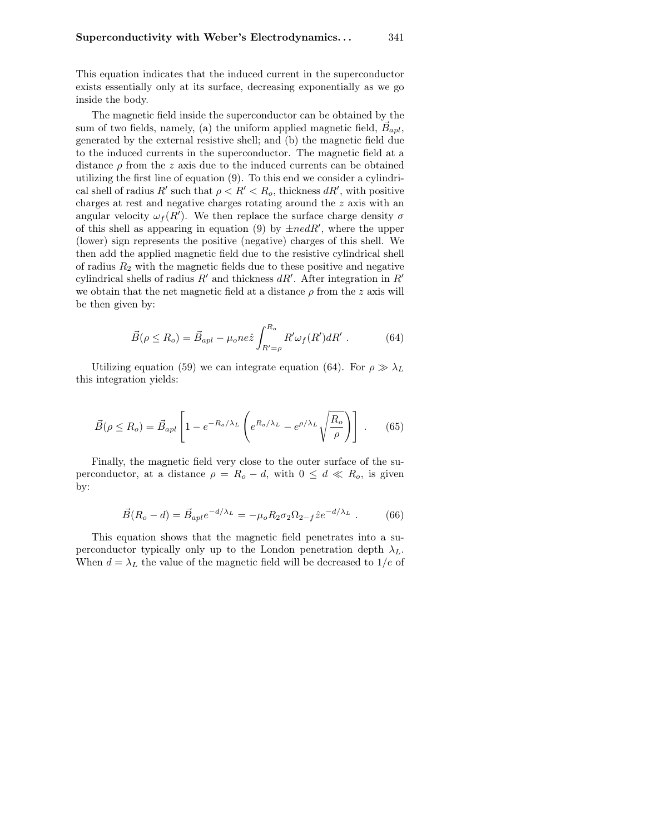This equation indicates that the induced current in the superconductor exists essentially only at its surface, decreasing exponentially as we go inside the body.

The magnetic field inside the superconductor can be obtained by the sum of two fields, namely, (a) the uniform applied magnetic field,  $\vec{B}_{apl}$ , generated by the external resistive shell; and (b) the magnetic field due to the induced currents in the superconductor. The magnetic field at a distance  $\rho$  from the z axis due to the induced currents can be obtained utilizing the first line of equation (9). To this end we consider a cylindrical shell of radius  $R'$  such that  $\rho < R' < R_o$ , thickness  $dR'$ , with positive charges at rest and negative charges rotating around the z axis with an angular velocity  $\omega_f(R')$ . We then replace the surface charge density  $\sigma$ of this shell as appearing in equation (9) by  $\pm n \epsilon dR'$ , where the upper (lower) sign represents the positive (negative) charges of this shell. We then add the applied magnetic field due to the resistive cylindrical shell of radius  $R_2$  with the magnetic fields due to these positive and negative cylindrical shells of radius  $R'$  and thickness  $dR'$ . After integration in  $R'$ we obtain that the net magnetic field at a distance  $\rho$  from the z axis will be then given by:

$$
\vec{B}(\rho \le R_o) = \vec{B}_{apl} - \mu_o ne \hat{z} \int_{R'=\rho}^{R_o} R' \omega_f(R') dR' . \qquad (64)
$$

Utilizing equation (59) we can integrate equation (64). For  $\rho \gg \lambda_L$ this integration yields:

$$
\vec{B}(\rho \le R_o) = \vec{B}_{apl} \left[ 1 - e^{-R_o/\lambda_L} \left( e^{R_o/\lambda_L} - e^{\rho/\lambda_L} \sqrt{\frac{R_o}{\rho}} \right) \right] . \tag{65}
$$

Finally, the magnetic field very close to the outer surface of the superconductor, at a distance  $\rho = R_o - d$ , with  $0 \leq d \ll R_o$ , is given by:

$$
\vec{B}(R_o - d) = \vec{B}_{apl}e^{-d/\lambda_L} = -\mu_o R_2 \sigma_2 \Omega_{2-f} \hat{z}e^{-d/\lambda_L} . \tag{66}
$$

This equation shows that the magnetic field penetrates into a superconductor typically only up to the London penetration depth  $\lambda_L$ . When  $d = \lambda_L$  the value of the magnetic field will be decreased to  $1/e$  of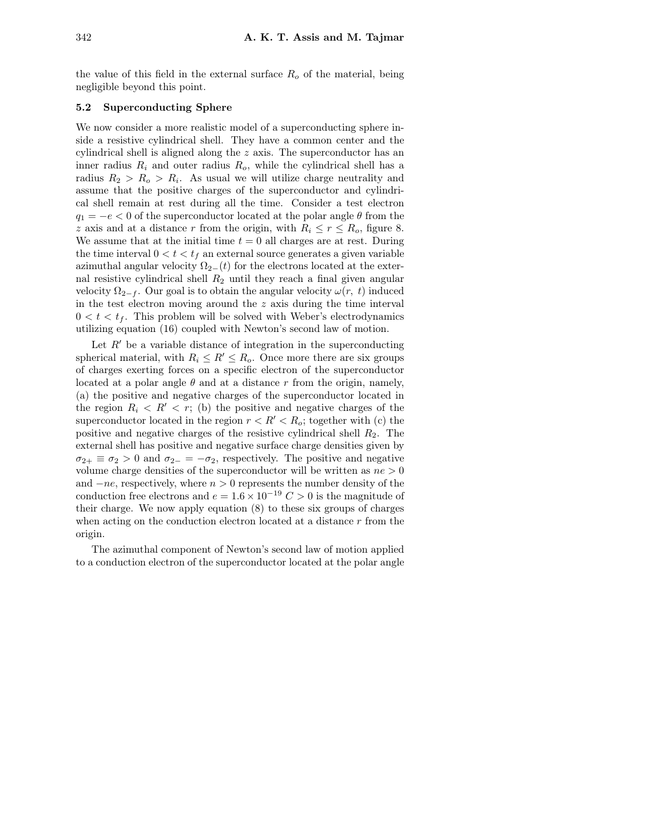the value of this field in the external surface  $R<sub>o</sub>$  of the material, being negligible beyond this point.

#### 5.2 Superconducting Sphere

We now consider a more realistic model of a superconducting sphere inside a resistive cylindrical shell. They have a common center and the cylindrical shell is aligned along the z axis. The superconductor has an inner radius  $R_i$  and outer radius  $R_o$ , while the cylindrical shell has a radius  $R_2 > R_o > R_i$ . As usual we will utilize charge neutrality and assume that the positive charges of the superconductor and cylindrical shell remain at rest during all the time. Consider a test electron  $q_1 = -e < 0$  of the superconductor located at the polar angle  $\theta$  from the z axis and at a distance r from the origin, with  $R_i \leq r \leq R_o$ , figure 8. We assume that at the initial time  $t = 0$  all charges are at rest. During the time interval  $0 < t < t_f$  an external source generates a given variable azimuthal angular velocity  $\Omega_{2-}(t)$  for the electrons located at the external resistive cylindrical shell  $R_2$  until they reach a final given angular velocity  $\Omega_{2-f}$ . Our goal is to obtain the angular velocity  $\omega(r, t)$  induced in the test electron moving around the  $z$  axis during the time interval  $0 < t < t<sub>f</sub>$ . This problem will be solved with Weber's electrodynamics utilizing equation (16) coupled with Newton's second law of motion.

Let  $R'$  be a variable distance of integration in the superconducting spherical material, with  $R_i \leq R' \leq R_o$ . Once more there are six groups of charges exerting forces on a specific electron of the superconductor located at a polar angle  $\theta$  and at a distance r from the origin, namely, (a) the positive and negative charges of the superconductor located in the region  $R_i < R' < r$ ; (b) the positive and negative charges of the superconductor located in the region  $r < R' < R_o$ ; together with (c) the positive and negative charges of the resistive cylindrical shell  $R_2$ . The external shell has positive and negative surface charge densities given by  $\sigma_{2+} \equiv \sigma_2 > 0$  and  $\sigma_{2-} = -\sigma_2$ , respectively. The positive and negative volume charge densities of the superconductor will be written as  $ne > 0$ and  $-ne$ , respectively, where  $n > 0$  represents the number density of the conduction free electrons and  $e = 1.6 \times 10^{-19} C > 0$  is the magnitude of their charge. We now apply equation (8) to these six groups of charges when acting on the conduction electron located at a distance  $r$  from the origin.

The azimuthal component of Newton's second law of motion applied to a conduction electron of the superconductor located at the polar angle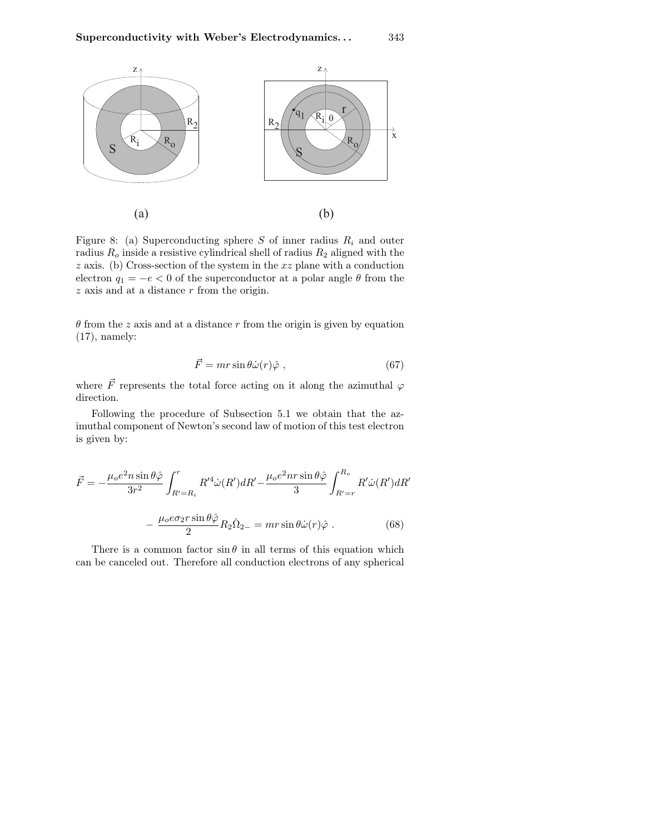

Figure 8: (a) Superconducting sphere S of inner radius  $R_i$  and outer radius  $R_o$  inside a resistive cylindrical shell of radius  $R_2$  aligned with the  $z$  axis. (b) Cross-section of the system in the  $xz$  plane with a conduction electron  $q_1 = -e < 0$  of the superconductor at a polar angle  $\theta$  from the  $z$  axis and at a distance  $r$  from the origin.

 $\theta$  from the z axis and at a distance r from the origin is given by equation  $(17)$ , namely:

$$
\vec{F} = mr\sin\theta \dot{\omega}(r)\hat{\varphi} \ , \qquad (67)
$$

where  $\vec{F}$  represents the total force acting on it along the azimuthal  $\varphi$ direction.

Following the procedure of Subsection 5.1 we obtain that the azimuthal component of Newton's second law of motion of this test electron is given by:

$$
\vec{F} = -\frac{\mu_o e^2 n \sin \theta \hat{\varphi}}{3r^2} \int_{R'=R_i}^r R'^4 \dot{\omega}(R') dR' - \frac{\mu_o e^2 n r \sin \theta \hat{\varphi}}{3} \int_{R'=r}^{R_o} R' \dot{\omega}(R') dR'
$$

$$
- \frac{\mu_o e \sigma_2 r \sin \theta \hat{\varphi}}{2} R_2 \dot{\Omega}_{2-} = m r \sin \theta \dot{\omega}(r) \hat{\varphi} . \tag{68}
$$

There is a common factor  $\sin \theta$  in all terms of this equation which can be canceled out. Therefore all conduction electrons of any spherical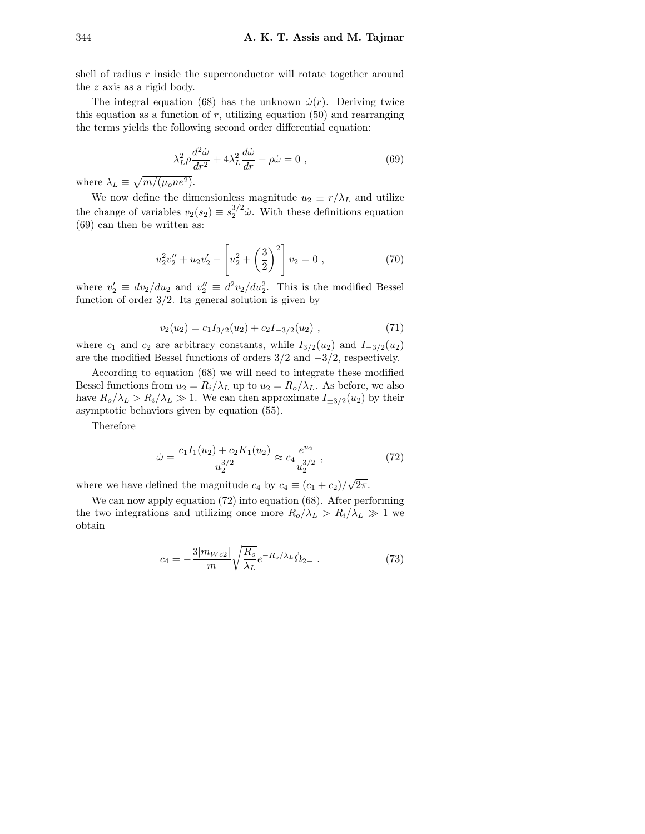shell of radius  $r$  inside the superconductor will rotate together around the z axis as a rigid body.

The integral equation (68) has the unknown  $\dot{\omega}(r)$ . Deriving twice this equation as a function of  $r$ , utilizing equation (50) and rearranging the terms yields the following second order differential equation:

$$
\lambda_L^2 \rho \frac{d^2 \dot{\omega}}{dr^2} + 4\lambda_L^2 \frac{d\dot{\omega}}{dr} - \rho \dot{\omega} = 0 , \qquad (69)
$$

where  $\lambda_L \equiv \sqrt{m/(\mu_o n e^2)}$ .

We now define the dimensionless magnitude  $u_2 \equiv r/\lambda_L$  and utilize the change of variables  $v_2(s_2) \equiv s_2^{3/2} \dot{\omega}$ . With these definitions equation (69) can then be written as:

$$
u_2^2 v_2'' + u_2 v_2' - \left[ u_2^2 + \left( \frac{3}{2} \right)^2 \right] v_2 = 0 , \qquad (70)
$$

where  $v_2' \equiv dv_2/du_2$  and  $v_2'' \equiv d^2v_2/du_2^2$ . This is the modified Bessel function of order  $3/2$ . Its general solution is given by

$$
v_2(u_2) = c_1 I_{3/2}(u_2) + c_2 I_{-3/2}(u_2) , \qquad (71)
$$

where  $c_1$  and  $c_2$  are arbitrary constants, while  $I_{3/2}(u_2)$  and  $I_{-3/2}(u_2)$ are the modified Bessel functions of orders  $3/2$  and  $-3/2$ , respectively.

According to equation (68) we will need to integrate these modified Bessel functions from  $u_2 = R_i/\lambda_L$  up to  $u_2 = R_o/\lambda_L$ . As before, we also have  $R_o/\lambda_L > R_i/\lambda_L \gg 1$ . We can then approximate  $I_{\pm 3/2}(u_2)$  by their asymptotic behaviors given by equation (55).

Therefore

$$
\dot{\omega} = \frac{c_1 I_1(u_2) + c_2 K_1(u_2)}{u_2^{3/2}} \approx c_4 \frac{e^{u_2}}{u_2^{3/2}},\tag{72}
$$

where we have defined the magnitude  $c_4$  by  $c_4 \equiv (c_1 + c_2)$ /  $2\pi$ .

We can now apply equation (72) into equation (68). After performing the two integrations and utilizing once more  $R_o/\lambda_L > R_i/\lambda_L \gg 1$  we obtain

$$
c_4 = -\frac{3|m_{Wc2}|}{m}\sqrt{\frac{R_o}{\lambda_L}}e^{-R_o/\lambda_L}\dot{\Omega}_{2-} \ . \tag{73}
$$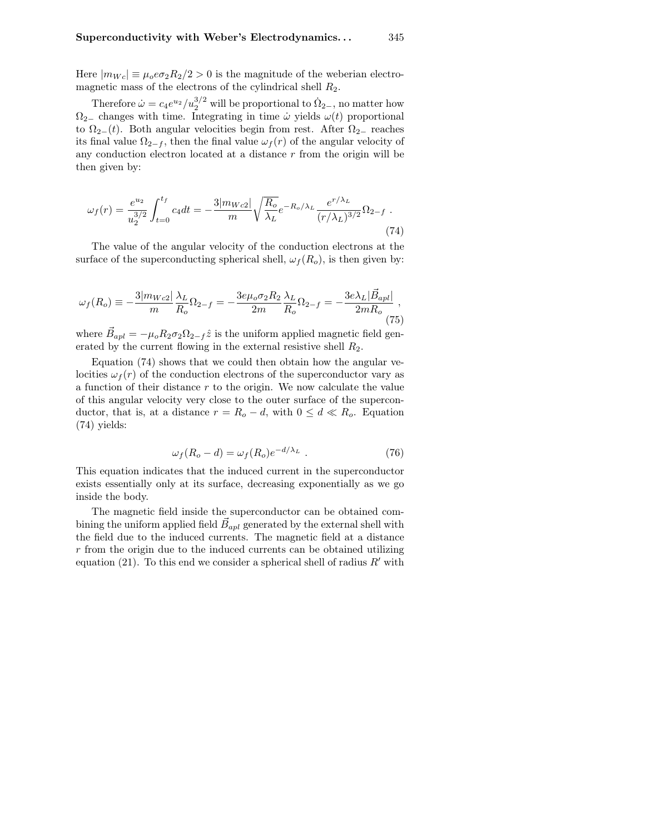Here  $|m_{Wc}| \equiv \mu_0 \epsilon \sigma_2 R_2/2 > 0$  is the magnitude of the weberian electromagnetic mass of the electrons of the cylindrical shell  $R_2$ .

Therefore  $\dot{\omega} = c_4 e^{u_2} / u_2^{3/2}$  will be proportional to  $\dot{\Omega}_{2-}$ , no matter how  $\Omega_{2-}$  changes with time. Integrating in time  $\omega$  yields  $\omega(t)$  proportional to  $\Omega_{2-}(t)$ . Both angular velocities begin from rest. After  $\Omega_{2-}$  reaches its final value  $\Omega_{2-f}$ , then the final value  $\omega_f(r)$  of the angular velocity of any conduction electron located at a distance  $r$  from the origin will be then given by:

$$
\omega_f(r) = \frac{e^{u_2}}{u_2^{3/2}} \int_{t=0}^{t_f} c_4 dt = -\frac{3|m_{Wc2}|}{m} \sqrt{\frac{R_o}{\lambda_L}} e^{-R_o/\lambda_L} \frac{e^{r/\lambda_L}}{(r/\lambda_L)^{3/2}} \Omega_{2-f} . \tag{74}
$$

The value of the angular velocity of the conduction electrons at the surface of the superconducting spherical shell,  $\omega_f(R_o)$ , is then given by:

$$
\omega_f(R_o) \equiv -\frac{3|m_{Wc2}|}{m} \frac{\lambda_L}{R_o} \Omega_{2-f} = -\frac{3e\mu_o \sigma_2 R_2}{2m} \frac{\lambda_L}{R_o} \Omega_{2-f} = -\frac{3e\lambda_L|\vec{B}_{apl}|}{2mR_o},\tag{75}
$$

where  $\vec{B}_{apl} = -\mu_o R_2 \sigma_2 \Omega_{2-f} \hat{z}$  is the uniform applied magnetic field generated by the current flowing in the external resistive shell  $R_2$ .

Equation (74) shows that we could then obtain how the angular velocities  $\omega_f(r)$  of the conduction electrons of the superconductor vary as a function of their distance  $r$  to the origin. We now calculate the value of this angular velocity very close to the outer surface of the superconductor, that is, at a distance  $r = R_o - d$ , with  $0 \leq d \ll R_o$ . Equation (74) yields:

$$
\omega_f(R_o - d) = \omega_f(R_o)e^{-d/\lambda_L} \tag{76}
$$

This equation indicates that the induced current in the superconductor exists essentially only at its surface, decreasing exponentially as we go inside the body.

The magnetic field inside the superconductor can be obtained combining the uniform applied field  $\vec{B}_{apl}$  generated by the external shell with the field due to the induced currents. The magnetic field at a distance r from the origin due to the induced currents can be obtained utilizing equation (21). To this end we consider a spherical shell of radius  $R'$  with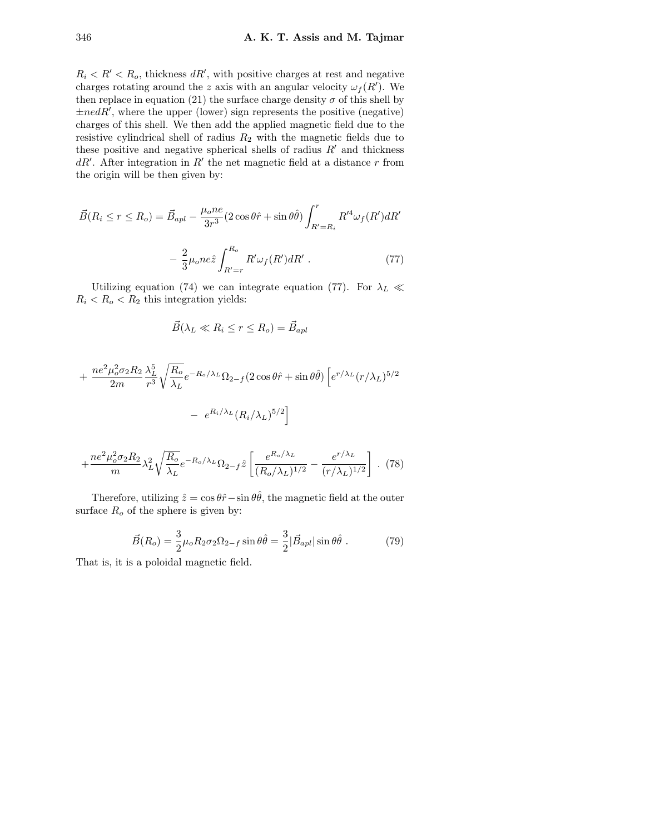$R_i < R' < R_o$ , thickness  $dR'$ , with positive charges at rest and negative charges rotating around the z axis with an angular velocity  $\omega_f(R')$ . We then replace in equation (21) the surface charge density  $\sigma$  of this shell by  $\pm$ nedR', where the upper (lower) sign represents the positive (negative) charges of this shell. We then add the applied magnetic field due to the resistive cylindrical shell of radius  $R_2$  with the magnetic fields due to these positive and negative spherical shells of radius  $R'$  and thickness  $dR'$ . After integration in  $R'$  the net magnetic field at a distance r from the origin will be then given by:

$$
\vec{B}(R_i \le r \le R_o) = \vec{B}_{apl} - \frac{\mu_o n e}{3r^3} (2 \cos\theta \hat{r} + \sin\theta \hat{\theta}) \int_{R'=R_i}^r R'^4 \omega_f(R') dR' - \frac{2}{3} \mu_o n e \hat{z} \int_{R'=r}^{R_o} R' \omega_f(R') dR' . \tag{77}
$$

Utilizing equation (74) we can integrate equation (77). For  $\lambda_L \ll$  $R_i < R_o < R_2$  this integration yields:

$$
\vec{B}(\lambda_L \ll R_i \le r \le R_o) = \vec{B}_{apl}
$$

$$
+\frac{ne^2\mu_o^2\sigma_2R_2}{2m}\frac{\lambda_L^5}{r^3}\sqrt{\frac{R_o}{\lambda_L}}e^{-R_o/\lambda_L}\Omega_{2-f}(2\cos\theta\hat{r}+\sin\theta\hat{\theta})\left[e^{r/\lambda_L}(r/\lambda_L)^{5/2}\right]
$$

$$
-\left[e^{R_i/\lambda_L}(R_i/\lambda_L)^{5/2}\right]
$$

$$
+\frac{ne^2\mu_o^2\sigma_2R_2}{m}\lambda_L^2\sqrt{\frac{R_o}{\lambda_L}}e^{-R_o/\lambda_L}\Omega_{2-f}\hat{z}\left[\frac{e^{R_o/\lambda_L}}{(R_o/\lambda_L)^{1/2}}-\frac{e^{r/\lambda_L}}{(r/\lambda_L)^{1/2}}\right].
$$
 (78)

Therefore, utilizing  $\hat{z} = \cos \theta \hat{r} - \sin \theta \hat{\theta}$ , the magnetic field at the outer surface  $R_o$  of the sphere is given by:

$$
\vec{B}(R_o) = \frac{3}{2}\mu_o R_2 \sigma_2 \Omega_{2-f} \sin \theta \hat{\theta} = \frac{3}{2} |\vec{B}_{apl}| \sin \theta \hat{\theta} . \tag{79}
$$

That is, it is a poloidal magnetic field.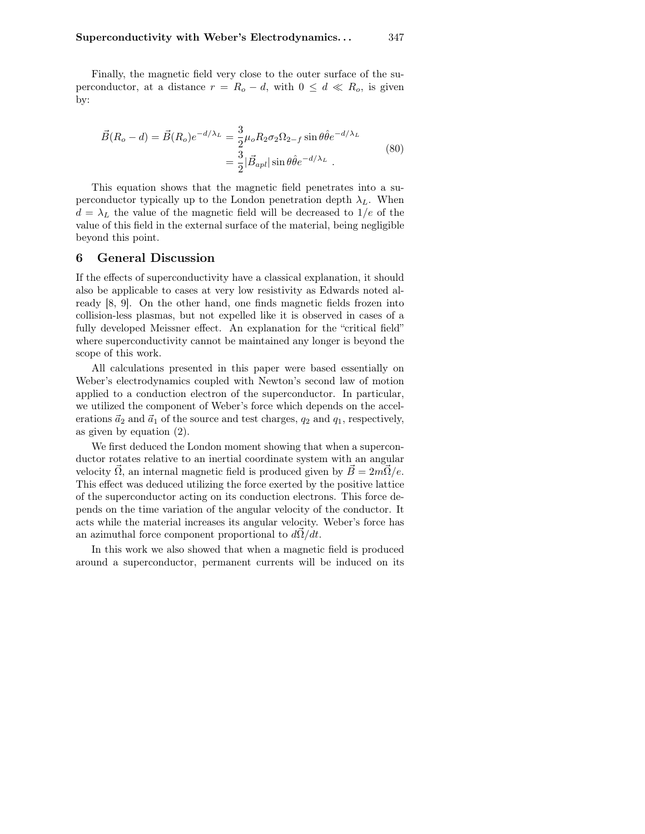Finally, the magnetic field very close to the outer surface of the superconductor, at a distance  $r = R_o - d$ , with  $0 \leq d \ll R_o$ , is given by:

$$
\vec{B}(R_o - d) = \vec{B}(R_o)e^{-d/\lambda_L} = \frac{3}{2}\mu_o R_2 \sigma_2 \Omega_{2-f} \sin\theta \hat{\theta} e^{-d/\lambda_L}
$$
\n
$$
= \frac{3}{2}|\vec{B}_{apl}|\sin\theta \hat{\theta} e^{-d/\lambda_L}.
$$
\n(80)

This equation shows that the magnetic field penetrates into a superconductor typically up to the London penetration depth  $\lambda_L$ . When  $d = \lambda_L$  the value of the magnetic field will be decreased to  $1/e$  of the value of this field in the external surface of the material, being negligible beyond this point.

### 6 General Discussion

If the effects of superconductivity have a classical explanation, it should also be applicable to cases at very low resistivity as Edwards noted already [8, 9]. On the other hand, one finds magnetic fields frozen into collision-less plasmas, but not expelled like it is observed in cases of a fully developed Meissner effect. An explanation for the "critical field" where superconductivity cannot be maintained any longer is beyond the scope of this work.

All calculations presented in this paper were based essentially on Weber's electrodynamics coupled with Newton's second law of motion applied to a conduction electron of the superconductor. In particular, we utilized the component of Weber's force which depends on the accelerations  $\vec{a}_2$  and  $\vec{a}_1$  of the source and test charges,  $q_2$  and  $q_1$ , respectively, as given by equation (2).

We first deduced the London moment showing that when a superconductor rotates relative to an inertial coordinate system with an angular velocity  $\vec{\Omega}$ , an internal magnetic field is produced given by  $\vec{B} = 2m\vec{\Omega}/e$ . This effect was deduced utilizing the force exerted by the positive lattice of the superconductor acting on its conduction electrons. This force depends on the time variation of the angular velocity of the conductor. It acts while the material increases its angular velocity. Weber's force has an azimuthal force component proportional to  $d\vec{\Omega}/dt$ .

In this work we also showed that when a magnetic field is produced around a superconductor, permanent currents will be induced on its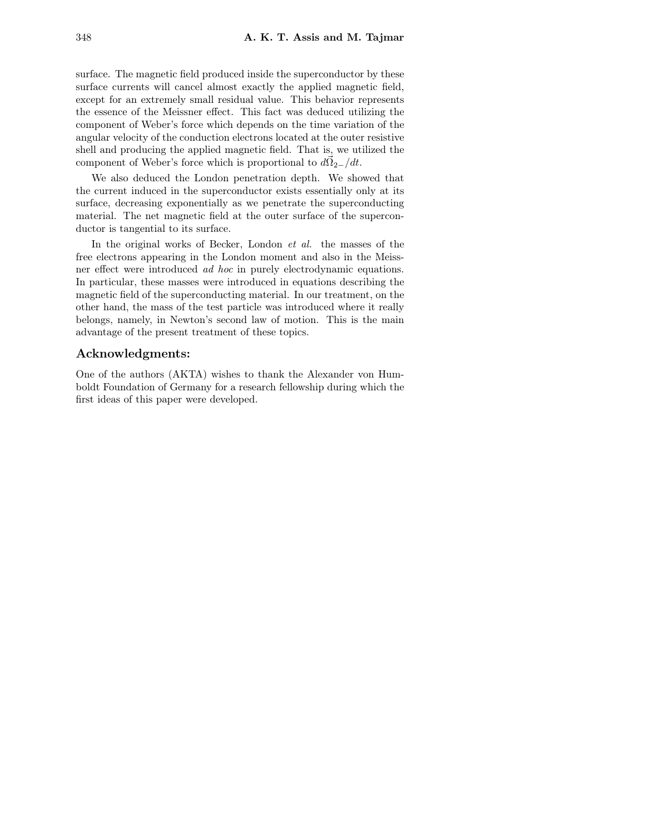surface. The magnetic field produced inside the superconductor by these surface currents will cancel almost exactly the applied magnetic field, except for an extremely small residual value. This behavior represents the essence of the Meissner effect. This fact was deduced utilizing the component of Weber's force which depends on the time variation of the angular velocity of the conduction electrons located at the outer resistive shell and producing the applied magnetic field. That is, we utilized the component of Weber's force which is proportional to  $d\vec{\Omega}_{2-}/dt$ .

We also deduced the London penetration depth. We showed that the current induced in the superconductor exists essentially only at its surface, decreasing exponentially as we penetrate the superconducting material. The net magnetic field at the outer surface of the superconductor is tangential to its surface.

In the original works of Becker, London *et al.* the masses of the free electrons appearing in the London moment and also in the Meissner effect were introduced ad hoc in purely electrodynamic equations. In particular, these masses were introduced in equations describing the magnetic field of the superconducting material. In our treatment, on the other hand, the mass of the test particle was introduced where it really belongs, namely, in Newton's second law of motion. This is the main advantage of the present treatment of these topics.

## Acknowledgments:

One of the authors (AKTA) wishes to thank the Alexander von Humboldt Foundation of Germany for a research fellowship during which the first ideas of this paper were developed.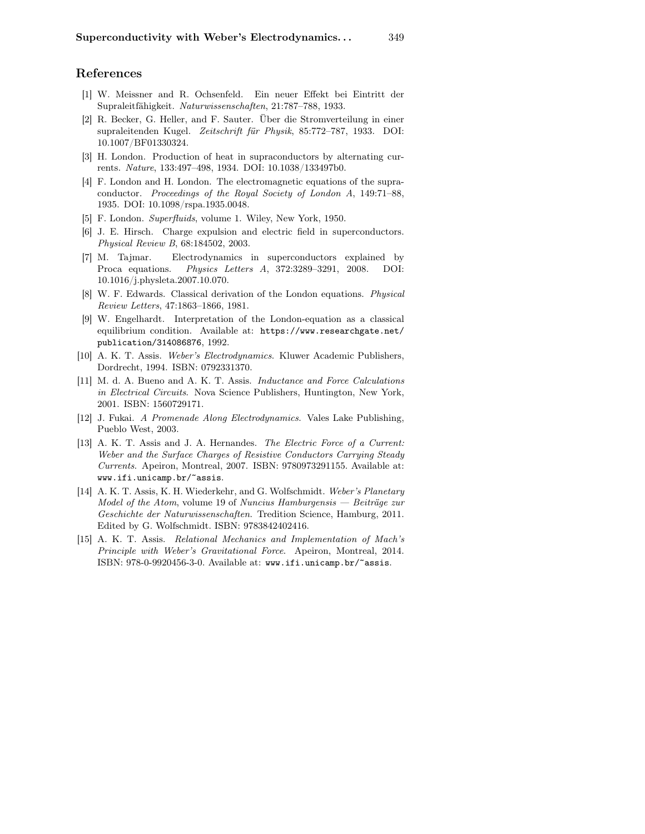## References

- [1] W. Meissner and R. Ochsenfeld. Ein neuer Effekt bei Eintritt der Supraleitfähigkeit. Naturwissenschaften, 21:787–788, 1933.
- [2] R. Becker, G. Heller, and F. Sauter. Über die Stromverteilung in einer supraleitenden Kugel. Zeitschrift für Physik, 85:772–787, 1933. DOI: 10.1007/BF01330324.
- [3] H. London. Production of heat in supraconductors by alternating currents. Nature, 133:497–498, 1934. DOI: 10.1038/133497b0.
- [4] F. London and H. London. The electromagnetic equations of the supraconductor. Proceedings of the Royal Society of London A, 149:71–88, 1935. DOI: 10.1098/rspa.1935.0048.
- [5] F. London. Superfluids, volume 1. Wiley, New York, 1950.
- [6] J. E. Hirsch. Charge expulsion and electric field in superconductors. Physical Review B, 68:184502, 2003.
- [7] M. Tajmar. Electrodynamics in superconductors explained by Proca equations. Physics Letters A, 372:3289–3291, 2008. DOI: 10.1016/j.physleta.2007.10.070.
- [8] W. F. Edwards. Classical derivation of the London equations. Physical Review Letters, 47:1863–1866, 1981.
- [9] W. Engelhardt. Interpretation of the London-equation as a classical equilibrium condition. Available at: https://www.researchgate.net/ publication/314086876, 1992.
- [10] A. K. T. Assis. Weber's Electrodynamics. Kluwer Academic Publishers, Dordrecht, 1994. ISBN: 0792331370.
- [11] M. d. A. Bueno and A. K. T. Assis. Inductance and Force Calculations in Electrical Circuits. Nova Science Publishers, Huntington, New York, 2001. ISBN: 1560729171.
- [12] J. Fukai. A Promenade Along Electrodynamics. Vales Lake Publishing, Pueblo West, 2003.
- [13] A. K. T. Assis and J. A. Hernandes. *The Electric Force of a Current:* Weber and the Surface Charges of Resistive Conductors Carrying Steady Currents. Apeiron, Montreal, 2007. ISBN: 9780973291155. Available at: www.ifi.unicamp.br/~assis.
- [14] A. K. T. Assis, K. H. Wiederkehr, and G. Wolfschmidt. Weber's Planetary Model of the Atom, volume 19 of Nuncius Hamburgensis — Beiträge zur Geschichte der Naturwissenschaften. Tredition Science, Hamburg, 2011. Edited by G. Wolfschmidt. ISBN: 9783842402416.
- [15] A. K. T. Assis. Relational Mechanics and Implementation of Mach's Principle with Weber's Gravitational Force. Apeiron, Montreal, 2014. ISBN: 978-0-9920456-3-0. Available at: www.ifi.unicamp.br/~assis.